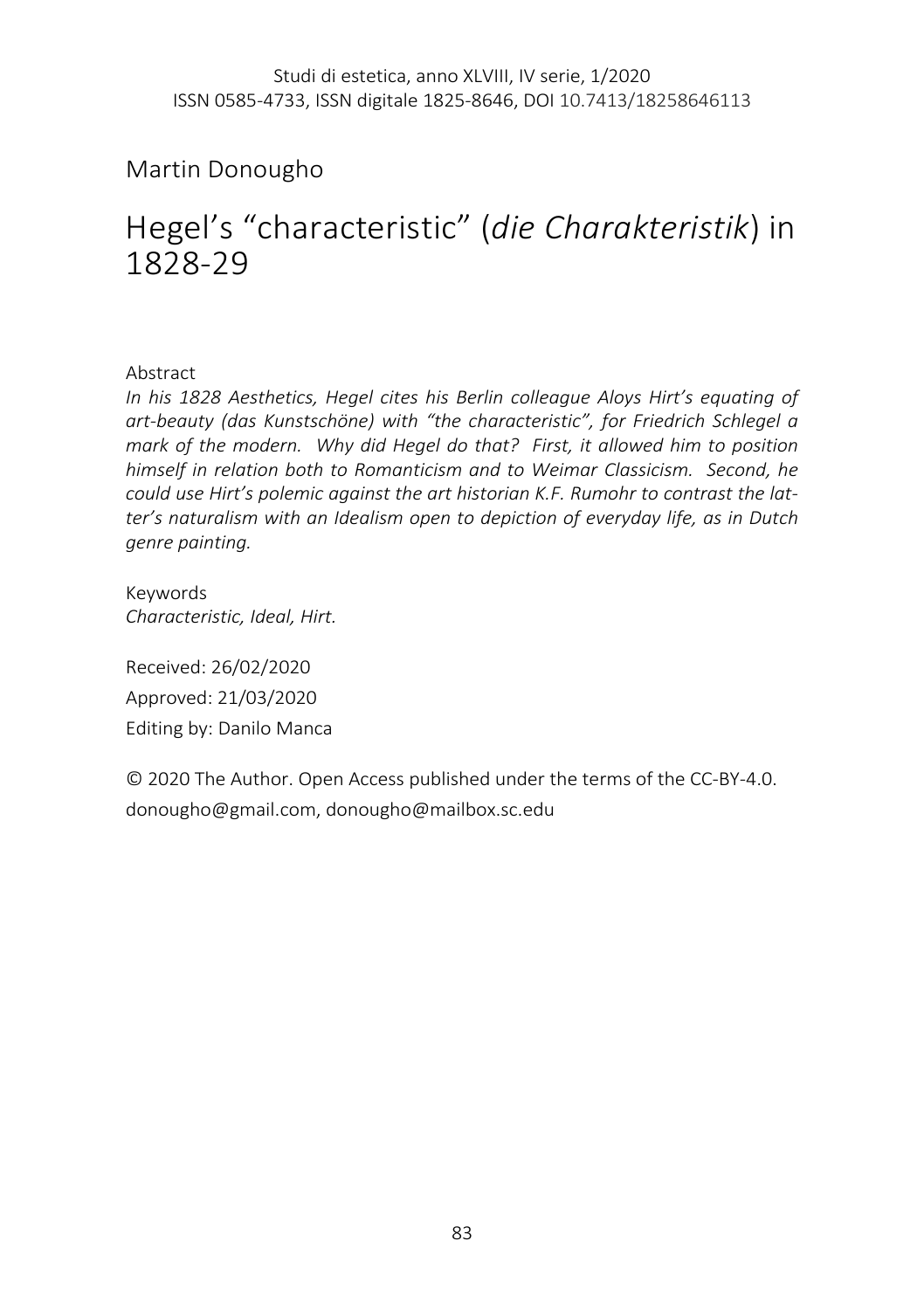# Martin Donougho

# Hegel's "characteristic" (*die Charakteristik*) in 1828-29

## Abstract

*In his 1828 Aesthetics, Hegel cites his Berlin colleague Aloys Hirt's equating of art-beauty (das Kunstschöne) with "the characteristic", for Friedrich Schlegel a mark of the modern. Why did Hegel do that? First, it allowed him to position himself in relation both to Romanticism and to Weimar Classicism. Second, he could use Hirt's polemic against the art historian K.F. Rumohr to contrast the latter's naturalism with an Idealism open to depiction of everyday life, as in Dutch genre painting.*

Keywords *Characteristic, Ideal, Hirt.*

Received: 26/02/2020 Approved: 21/03/2020 Editing by: Danilo Manca

© 2020 The Author. Open Access published under the terms of the CC-BY-4.0. donougho@gmail.com, donougho@mailbox.sc.edu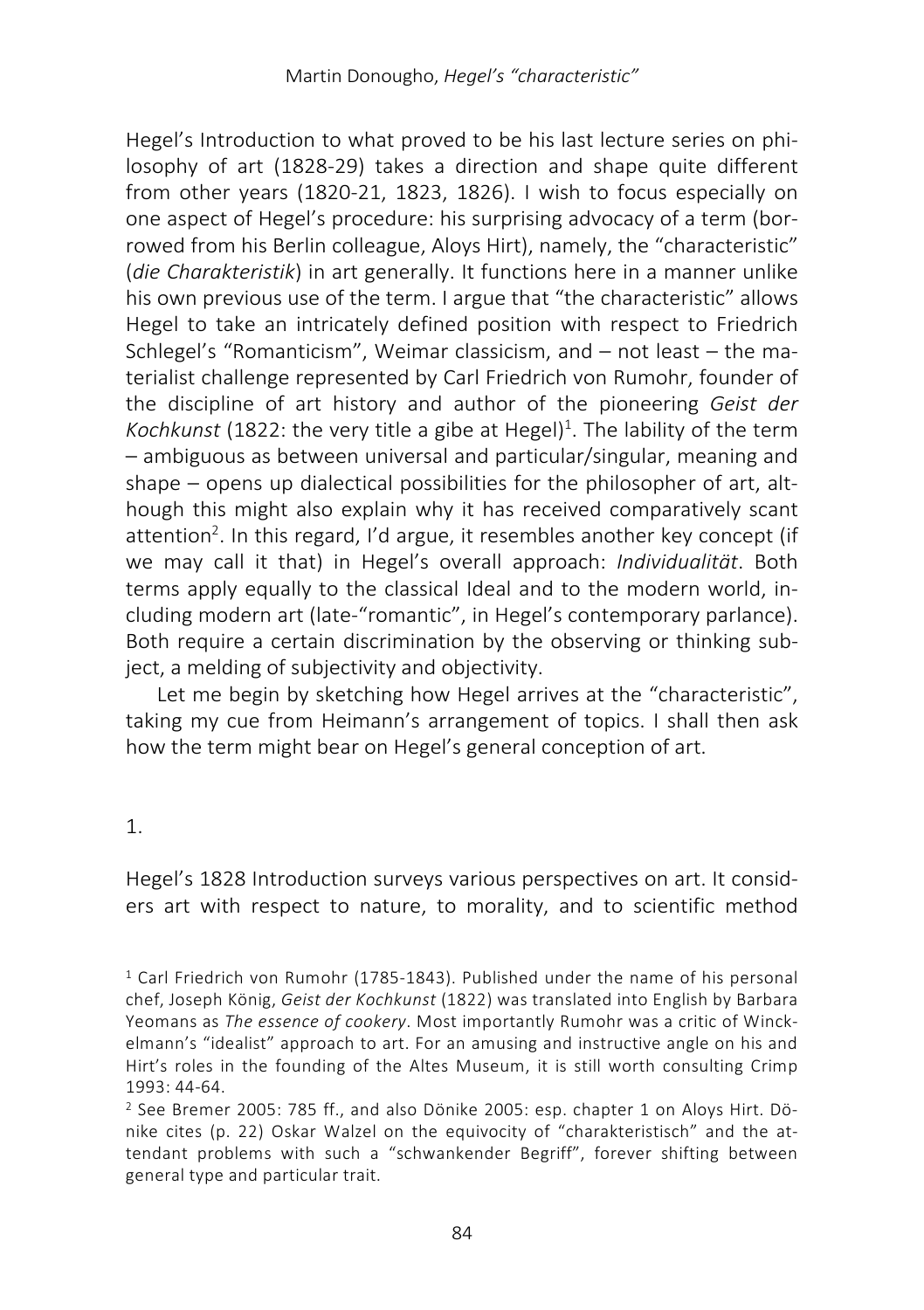Hegel's Introduction to what proved to be his last lecture series on philosophy of art (1828-29) takes a direction and shape quite different from other years (1820-21, 1823, 1826). I wish to focus especially on one aspect of Hegel's procedure: his surprising advocacy of a term (borrowed from his Berlin colleague, Aloys Hirt), namely, the "characteristic" (*die Charakteristik*) in art generally. It functions here in a manner unlike his own previous use of the term. I argue that "the characteristic" allows Hegel to take an intricately defined position with respect to Friedrich Schlegel's "Romanticism", Weimar classicism, and – not least – the materialist challenge represented by Carl Friedrich von Rumohr, founder of the discipline of art history and author of the pioneering *Geist der*  Kochkunst (1822: the very title a gibe at Hegel)<sup>1</sup>. The lability of the term – ambiguous as between universal and particular/singular, meaning and shape – opens up dialectical possibilities for the philosopher of art, although this might also explain why it has received comparatively scant attention<sup>2</sup>. In this regard, I'd argue, it resembles another key concept (if we may call it that) in Hegel's overall approach: *Individualität*. Both terms apply equally to the classical Ideal and to the modern world, including modern art (late-"romantic", in Hegel's contemporary parlance). Both require a certain discrimination by the observing or thinking subject, a melding of subjectivity and objectivity.

Let me begin by sketching how Hegel arrives at the "characteristic", taking my cue from Heimann's arrangement of topics. I shall then ask how the term might bear on Hegel's general conception of art.

1.

Hegel's 1828 Introduction surveys various perspectives on art. It considers art with respect to nature, to morality, and to scientific method

<sup>1</sup> Carl Friedrich von Rumohr (1785-1843). Published under the name of his personal chef, Joseph König, *Geist der Kochkunst* (1822) was translated into English by Barbara Yeomans as *The essence of cookery*. Most importantly Rumohr was a critic of Winckelmann's "idealist" approach to art. For an amusing and instructive angle on his and Hirt's roles in the founding of the Altes Museum, it is still worth consulting Crimp 1993: 44-64.

<sup>2</sup> See Bremer 2005: 785 ff., and also Dönike 2005: esp. chapter 1 on Aloys Hirt. Dönike cites (p. 22) Oskar Walzel on the equivocity of "charakteristisch" and the attendant problems with such a "schwankender Begriff", forever shifting between general type and particular trait.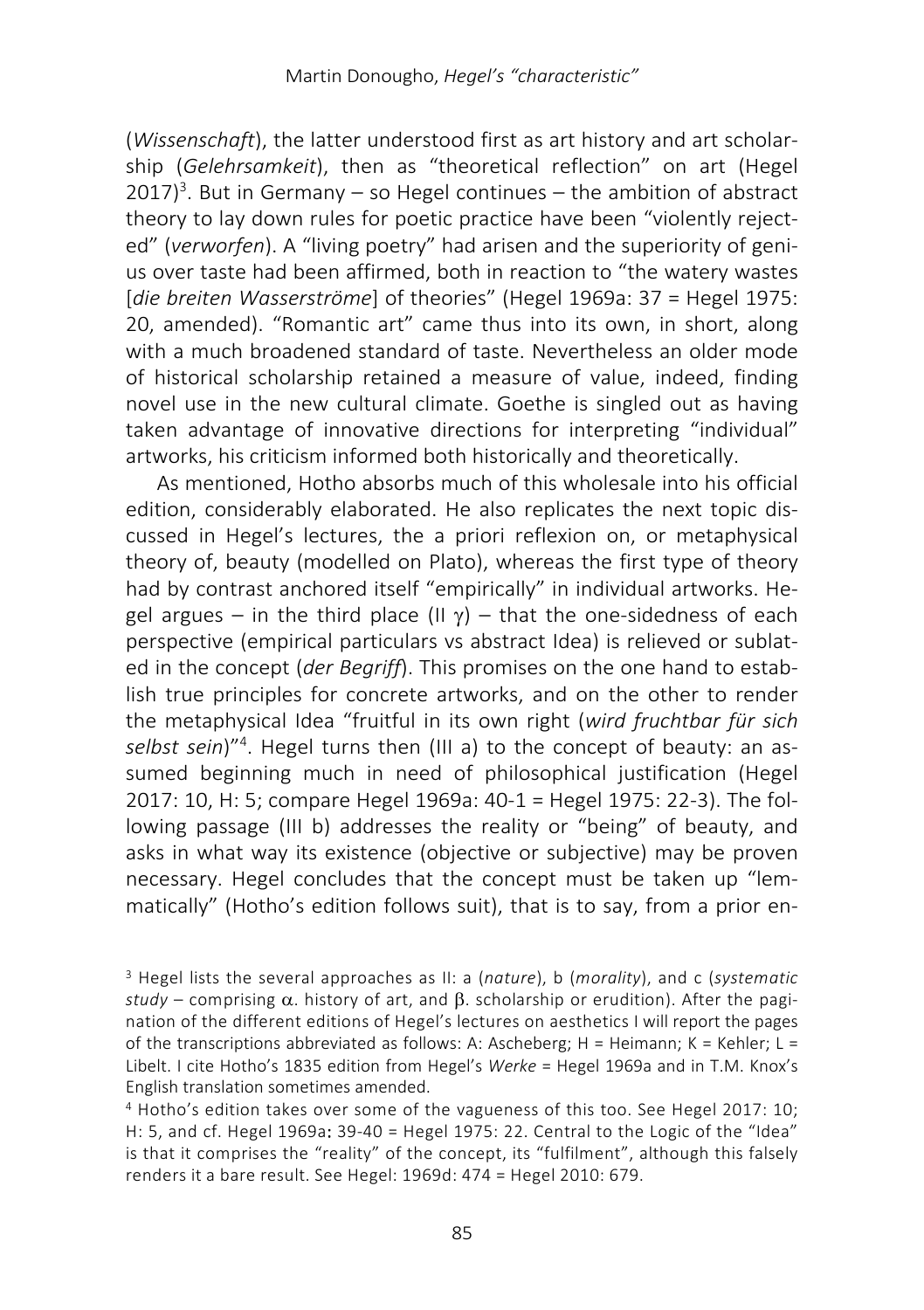(*Wissenschaft*), the latter understood first as art history and art scholarship (*Gelehrsamkeit*), then as "theoretical reflection" on art (Hegel  $2017$ <sup>3</sup>. But in Germany – so Hegel continues – the ambition of abstract theory to lay down rules for poetic practice have been "violently rejected" (*verworfen*). A "living poetry" had arisen and the superiority of genius over taste had been affirmed, both in reaction to "the watery wastes [*die breiten Wasserströme*] of theories" (Hegel 1969a: 37 = Hegel 1975: 20, amended). "Romantic art" came thus into its own, in short, along with a much broadened standard of taste. Nevertheless an older mode of historical scholarship retained a measure of value, indeed, finding novel use in the new cultural climate. Goethe is singled out as having taken advantage of innovative directions for interpreting "individual" artworks, his criticism informed both historically and theoretically.

As mentioned, Hotho absorbs much of this wholesale into his official edition, considerably elaborated. He also replicates the next topic discussed in Hegel's lectures, the a priori reflexion on, or metaphysical theory of, beauty (modelled on Plato), whereas the first type of theory had by contrast anchored itself "empirically" in individual artworks. Hegel argues – in the third place (II  $\gamma$ ) – that the one-sidedness of each perspective (empirical particulars vs abstract Idea) is relieved or sublated in the concept (*der Begriff*). This promises on the one hand to establish true principles for concrete artworks, and on the other to render the metaphysical Idea "fruitful in its own right (*wird fruchtbar für sich selbst sein*)"4 . Hegel turns then (III a) to the concept of beauty: an assumed beginning much in need of philosophical justification (Hegel 2017: 10, H: 5; compare Hegel 1969a: 40-1 = Hegel 1975: 22-3). The following passage (III b) addresses the reality or "being" of beauty, and asks in what way its existence (objective or subjective) may be proven necessary. Hegel concludes that the concept must be taken up "lemmatically" (Hotho's edition follows suit), that is to say, from a prior en-

<sup>3</sup> Hegel lists the several approaches as II: a (*nature*), b (*morality*), and c (*systematic*   $study$  – comprising  $\alpha$ . history of art, and  $\beta$ . scholarship or erudition). After the pagination of the different editions of Hegel's lectures on aesthetics I will report the pages of the transcriptions abbreviated as follows: A: Ascheberg; H = Heimann; K = Kehler; L = Libelt. I cite Hotho's 1835 edition from Hegel's *Werke* = Hegel 1969a and in T.M. Knox's English translation sometimes amended.<br>4 Hotho's edition takes over some of the vagueness of this too. See Hegel 2017: 10;

H: 5, and cf. Hegel 1969a: 39-40 = Hegel 1975: 22. Central to the Logic of the "Idea" is that it comprises the "reality" of the concept, its "fulfilment", although this falsely renders it a bare result. See Hegel: 1969d: 474 = Hegel 2010: 679.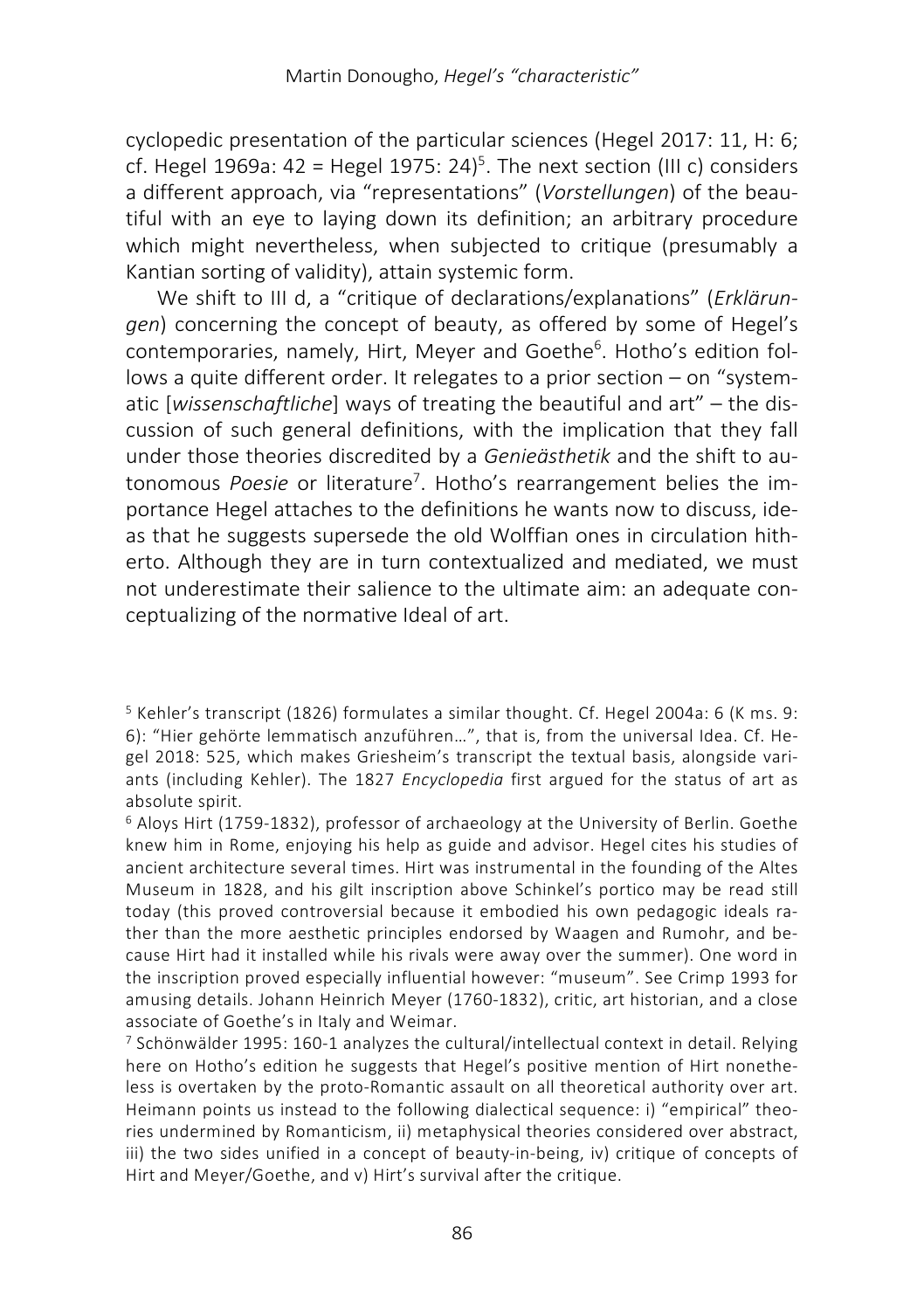cyclopedic presentation of the particular sciences (Hegel 2017: 11, H: 6; cf. Hegel 1969a: 42 = Hegel 1975: 24)<sup>5</sup>. The next section (III c) considers a different approach, via "representations" (*Vorstellungen*) of the beautiful with an eye to laying down its definition; an arbitrary procedure which might nevertheless, when subjected to critique (presumably a Kantian sorting of validity), attain systemic form.

We shift to III d, a "critique of declarations/explanations" (*Erklärungen*) concerning the concept of beauty, as offered by some of Hegel's contemporaries, namely, Hirt, Meyer and Goethe<sup>6</sup>. Hotho's edition follows a quite different order. It relegates to a prior section – on "systematic [*wissenschaftliche*] ways of treating the beautiful and art" – the discussion of such general definitions, with the implication that they fall under those theories discredited by a *Genieästhetik* and the shift to autonomous *Poesie* or literature7 . Hotho's rearrangement belies the importance Hegel attaches to the definitions he wants now to discuss, ideas that he suggests supersede the old Wolffian ones in circulation hitherto. Although they are in turn contextualized and mediated, we must not underestimate their salience to the ultimate aim: an adequate conceptualizing of the normative Ideal of art.

<sup>5</sup> Kehler's transcript (1826) formulates a similar thought. Cf. Hegel 2004a: 6 (K ms. 9: 6): "Hier gehörte lemmatisch anzuführen…", that is, from the universal Idea. Cf. Hegel 2018: 525, which makes Griesheim's transcript the textual basis, alongside variants (including Kehler). The 1827 *Encyclopedia* first argued for the status of art as absolute spirit.

<sup>6</sup> Aloys Hirt (1759-1832), professor of archaeology at the University of Berlin. Goethe knew him in Rome, enjoying his help as guide and advisor. Hegel cites his studies of ancient architecture several times. Hirt was instrumental in the founding of the Altes Museum in 1828, and his gilt inscription above Schinkel's portico may be read still today (this proved controversial because it embodied his own pedagogic ideals rather than the more aesthetic principles endorsed by Waagen and Rumohr, and because Hirt had it installed while his rivals were away over the summer). One word in the inscription proved especially influential however: "museum". See Crimp 1993 for amusing details. Johann Heinrich Meyer (1760-1832), critic, art historian, and a close associate of Goethe's in Italy and Weimar.

<sup>7</sup> Schönwälder 1995: 160-1 analyzes the cultural/intellectual context in detail. Relying here on Hotho's edition he suggests that Hegel's positive mention of Hirt nonetheless is overtaken by the proto-Romantic assault on all theoretical authority over art. Heimann points us instead to the following dialectical sequence: i) "empirical" theories undermined by Romanticism, ii) metaphysical theories considered over abstract, iii) the two sides unified in a concept of beauty-in-being, iv) critique of concepts of Hirt and Meyer/Goethe, and v) Hirt's survival after the critique.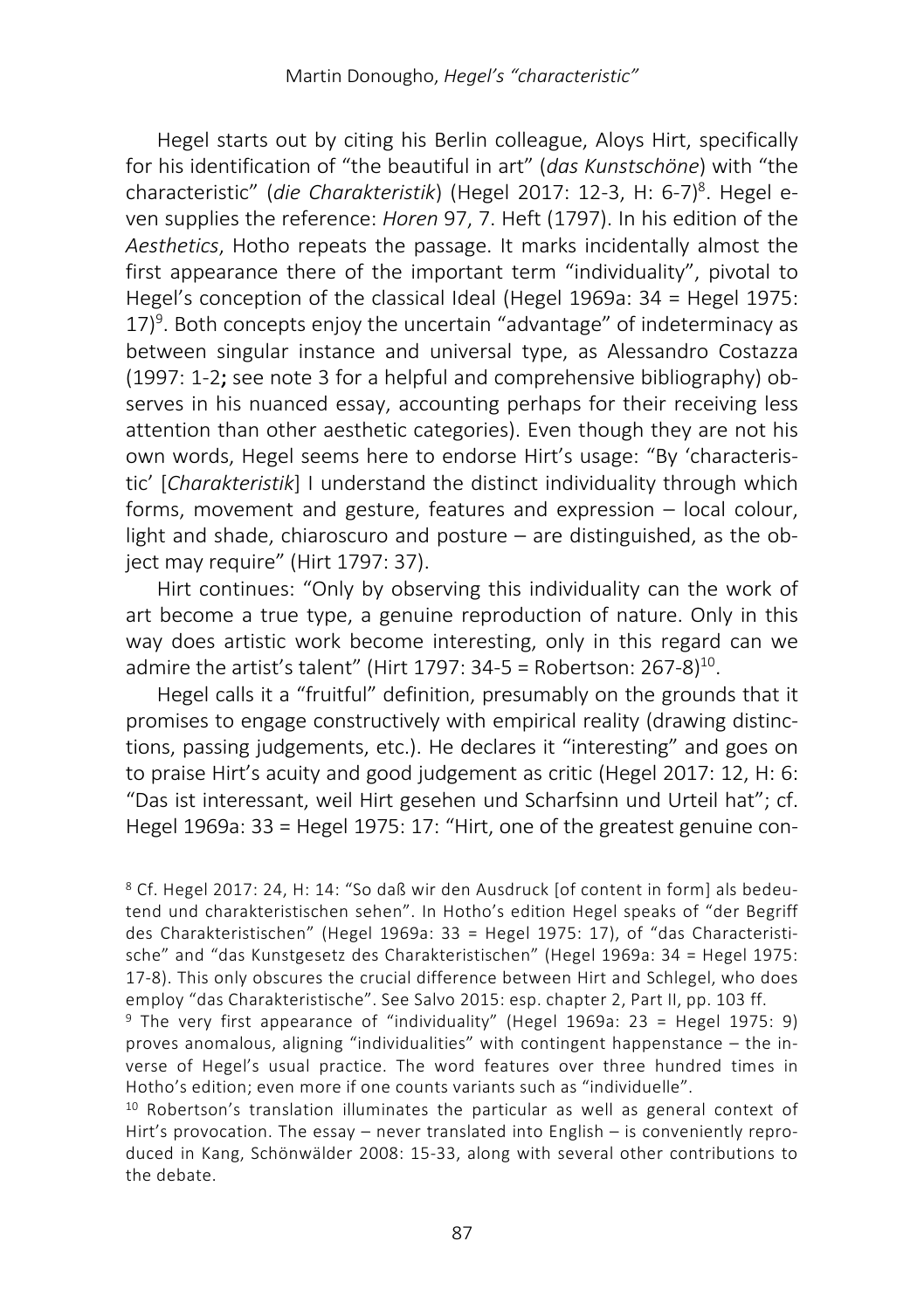Hegel starts out by citing his Berlin colleague, Aloys Hirt, specifically for his identification of "the beautiful in art" (*das Kunstschöne*) with "the characteristic" (*die Charakteristik*) (Hegel 2017: 12-3, H: 6-7) 8 . Hegel even supplies the reference: *Horen* 97, 7. Heft (1797). In his edition of the *Aesthetics*, Hotho repeats the passage. It marks incidentally almost the first appearance there of the important term "individuality", pivotal to Hegel's conception of the classical Ideal (Hegel 1969a: 34 = Hegel 1975:  $17$ <sup>9</sup>. Both concepts enjoy the uncertain "advantage" of indeterminacy as between singular instance and universal type, as Alessandro Costazza (1997: 1-2; see note 3 for a helpful and comprehensive bibliography) observes in his nuanced essay, accounting perhaps for their receiving less attention than other aesthetic categories). Even though they are not his own words, Hegel seems here to endorse Hirt's usage: "By 'characteristic' [*Charakteristik*] I understand the distinct individuality through which forms, movement and gesture, features and expression – local colour, light and shade, chiaroscuro and posture – are distinguished, as the object may require" (Hirt 1797: 37).

Hirt continues: "Only by observing this individuality can the work of art become a true type, a genuine reproduction of nature. Only in this way does artistic work become interesting, only in this regard can we admire the artist's talent" (Hirt 1797:  $34-5$  = Robertson:  $267-8$ )<sup>10</sup>.

Hegel calls it a "fruitful" definition, presumably on the grounds that it promises to engage constructively with empirical reality (drawing distinctions, passing judgements, etc.). He declares it "interesting" and goes on to praise Hirt's acuity and good judgement as critic (Hegel 2017: 12, H: 6: "Das ist interessant, weil Hirt gesehen und Scharfsinn und Urteil hat"; cf. Hegel 1969a: 33 = Hegel 1975: 17: "Hirt, one of the greatest genuine con-

<sup>10</sup> Robertson's translation illuminates the particular as well as general context of Hirt's provocation. The essay – never translated into English – is conveniently reproduced in Kang, Schönwälder 2008: 15-33, along with several other contributions to the debate.

<sup>8</sup> Cf. Hegel 2017: 24, H: 14: "So daß wir den Ausdruck [of content in form] als bedeutend und charakteristischen sehen". In Hotho's edition Hegel speaks of "der Begriff des Charakteristischen" (Hegel 1969a: 33 = Hegel 1975: 17), of "das Characteristische" and "das Kunstgesetz des Charakteristischen" (Hegel 1969a: 34 = Hegel 1975: 17-8). This only obscures the crucial difference between Hirt and Schlegel, who does employ "das Charakteristische". See Salvo 2015: esp. chapter 2, Part II, pp. 103 ff.

<sup>9</sup> The very first appearance of "individuality" (Hegel 1969a: 23 = Hegel 1975: 9) proves anomalous, aligning "individualities" with contingent happenstance – the inverse of Hegel's usual practice. The word features over three hundred times in Hotho's edition; even more if one counts variants such as "individuelle".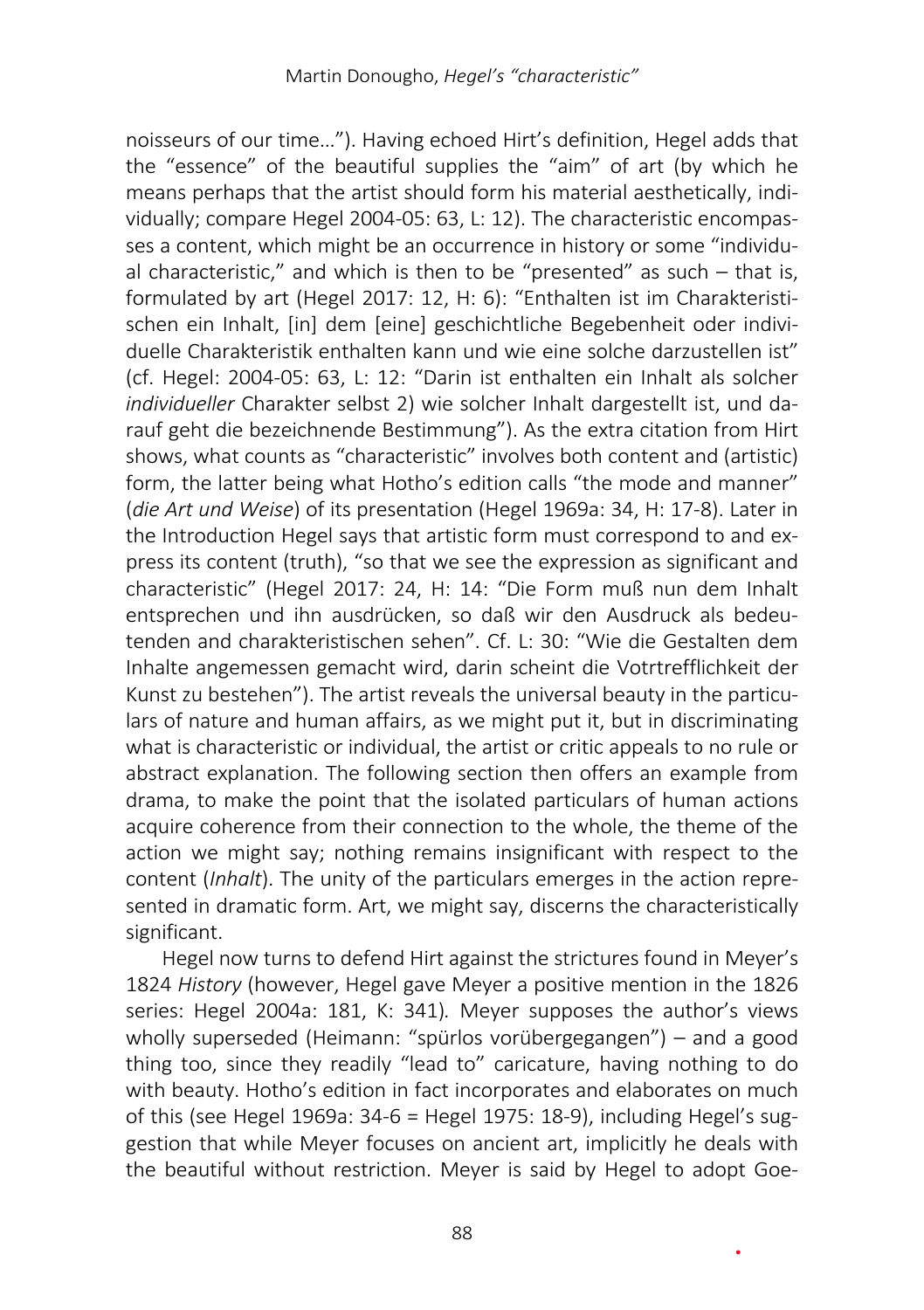noisseurs of our time…"). Having echoed Hirt's definition, Hegel adds that the "essence" of the beautiful supplies the "aim" of art (by which he means perhaps that the artist should form his material aesthetically, individually; compare Hegel 2004-05: 63, L: 12). The characteristic encompasses a content, which might be an occurrence in history or some "individual characteristic," and which is then to be "presented" as such – that is, formulated by art (Hegel 2017: 12, H: 6): "Enthalten ist im Charakteristischen ein Inhalt, [in] dem [eine] geschichtliche Begebenheit oder individuelle Charakteristik enthalten kann und wie eine solche darzustellen ist" (cf. Hegel: 2004-05: 63, L: 12: "Darin ist enthalten ein Inhalt als solcher *individueller* Charakter selbst 2) wie solcher Inhalt dargestellt ist, und darauf geht die bezeichnende Bestimmung"). As the extra citation from Hirt shows, what counts as "characteristic" involves both content and (artistic) form, the latter being what Hotho's edition calls "the mode and manner" (*die Art und Weise*) of its presentation (Hegel 1969a: 34, H: 17-8). Later in the Introduction Hegel says that artistic form must correspond to and express its content (truth), "so that we see the expression as significant and characteristic" (Hegel 2017: 24, H: 14: "Die Form muß nun dem Inhalt entsprechen und ihn ausdrücken, so daß wir den Ausdruck als bedeutenden and charakteristischen sehen". Cf. L: 30: "Wie die Gestalten dem Inhalte angemessen gemacht wird, darin scheint die Votrtrefflichkeit der Kunst zu bestehen"). The artist reveals the universal beauty in the particulars of nature and human affairs, as we might put it, but in discriminating what is characteristic or individual, the artist or critic appeals to no rule or abstract explanation. The following section then offers an example from drama, to make the point that the isolated particulars of human actions acquire coherence from their connection to the whole, the theme of the action we might say; nothing remains insignificant with respect to the content (*Inhalt*). The unity of the particulars emerges in the action represented in dramatic form. Art, we might say, discerns the characteristically significant.

Hegel now turns to defend Hirt against the strictures found in Meyer's 1824 *History* (however, Hegel gave Meyer a positive mention in the 1826 series: Hegel 2004a: 181, K: 341)*.* Meyer supposes the author's views wholly superseded (Heimann: "spürlos vorübergegangen") – and a good thing too, since they readily "lead to" caricature, having nothing to do with beauty. Hotho's edition in fact incorporates and elaborates on much of this (see Hegel 1969a: 34-6 = Hegel 1975: 18-9), including Hegel's suggestion that while Meyer focuses on ancient art, implicitly he deals with the beautiful without restriction. Meyer is said by Hegel to adopt Goe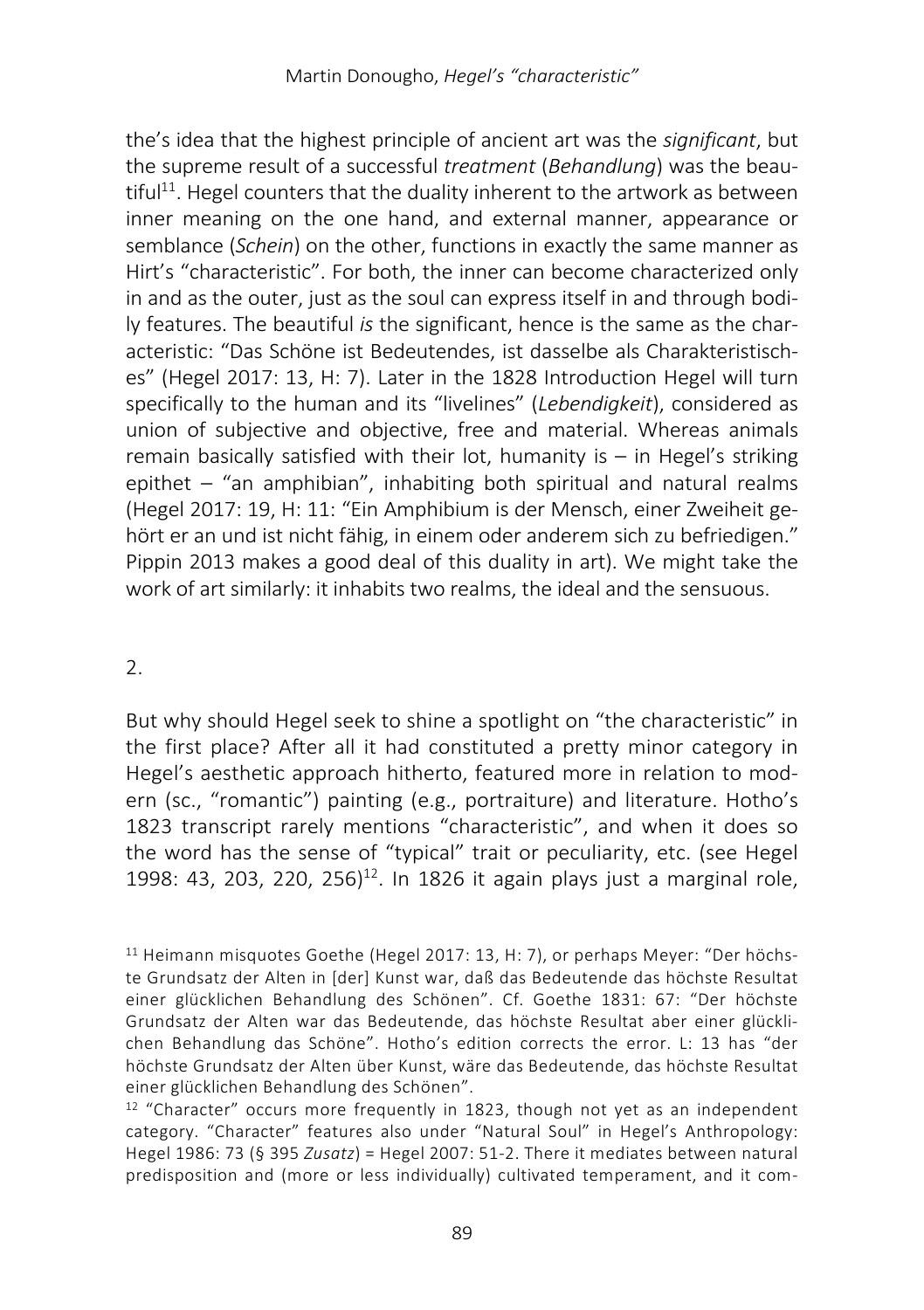the's idea that the highest principle of ancient art was the *significant*, but the supreme result of a successful *treatment* (*Behandlung*) was the beautiful<sup>11</sup>. Hegel counters that the duality inherent to the artwork as between inner meaning on the one hand, and external manner, appearance or semblance (*Schein*) on the other, functions in exactly the same manner as Hirt's "characteristic". For both, the inner can become characterized only in and as the outer, just as the soul can express itself in and through bodily features. The beautiful *is* the significant, hence is the same as the characteristic: "Das Schöne ist Bedeutendes, ist dasselbe als Charakteristisches" (Hegel 2017: 13, H: 7). Later in the 1828 Introduction Hegel will turn specifically to the human and its "livelines" (*Lebendigkeit*), considered as union of subjective and objective, free and material. Whereas animals remain basically satisfied with their lot, humanity is – in Hegel's striking epithet – "an amphibian", inhabiting both spiritual and natural realms (Hegel 2017: 19, H: 11: "Ein Amphibium is der Mensch, einer Zweiheit gehört er an und ist nicht fähig, in einem oder anderem sich zu befriedigen." Pippin 2013 makes a good deal of this duality in art). We might take the work of art similarly: it inhabits two realms, the ideal and the sensuous.

# $\mathcal{L}$

But why should Hegel seek to shine a spotlight on "the characteristic" in the first place? After all it had constituted a pretty minor category in Hegel's aesthetic approach hitherto, featured more in relation to modern (sc., "romantic") painting (e.g., portraiture) and literature. Hotho's 1823 transcript rarely mentions "characteristic", and when it does so the word has the sense of "typical" trait or peculiarity, etc. (see Hegel 1998: 43, 203, 220, 256)<sup>12</sup>. In 1826 it again plays just a marginal role,

<sup>11</sup> Heimann misquotes Goethe (Hegel 2017: 13, H: 7), or perhaps Meyer: "Der höchste Grundsatz der Alten in [der] Kunst war, daß das Bedeutende das höchste Resultat einer glücklichen Behandlung des Schönen". Cf. Goethe 1831: 67: "Der höchste Grundsatz der Alten war das Bedeutende, das höchste Resultat aber einer glücklichen Behandlung das Schöne". Hotho's edition corrects the error. L: 13 has "der höchste Grundsatz der Alten über Kunst, wäre das Bedeutende, das höchste Resultat einer glücklichen Behandlung des Schönen".

<sup>12</sup> "Character" occurs more frequently in 1823, though not yet as an independent category. "Character" features also under "Natural Soul" in Hegel's Anthropology: Hegel 1986: 73 (§ 395 *Zusatz*) = Hegel 2007: 51-2. There it mediates between natural predisposition and (more or less individually) cultivated temperament, and it com-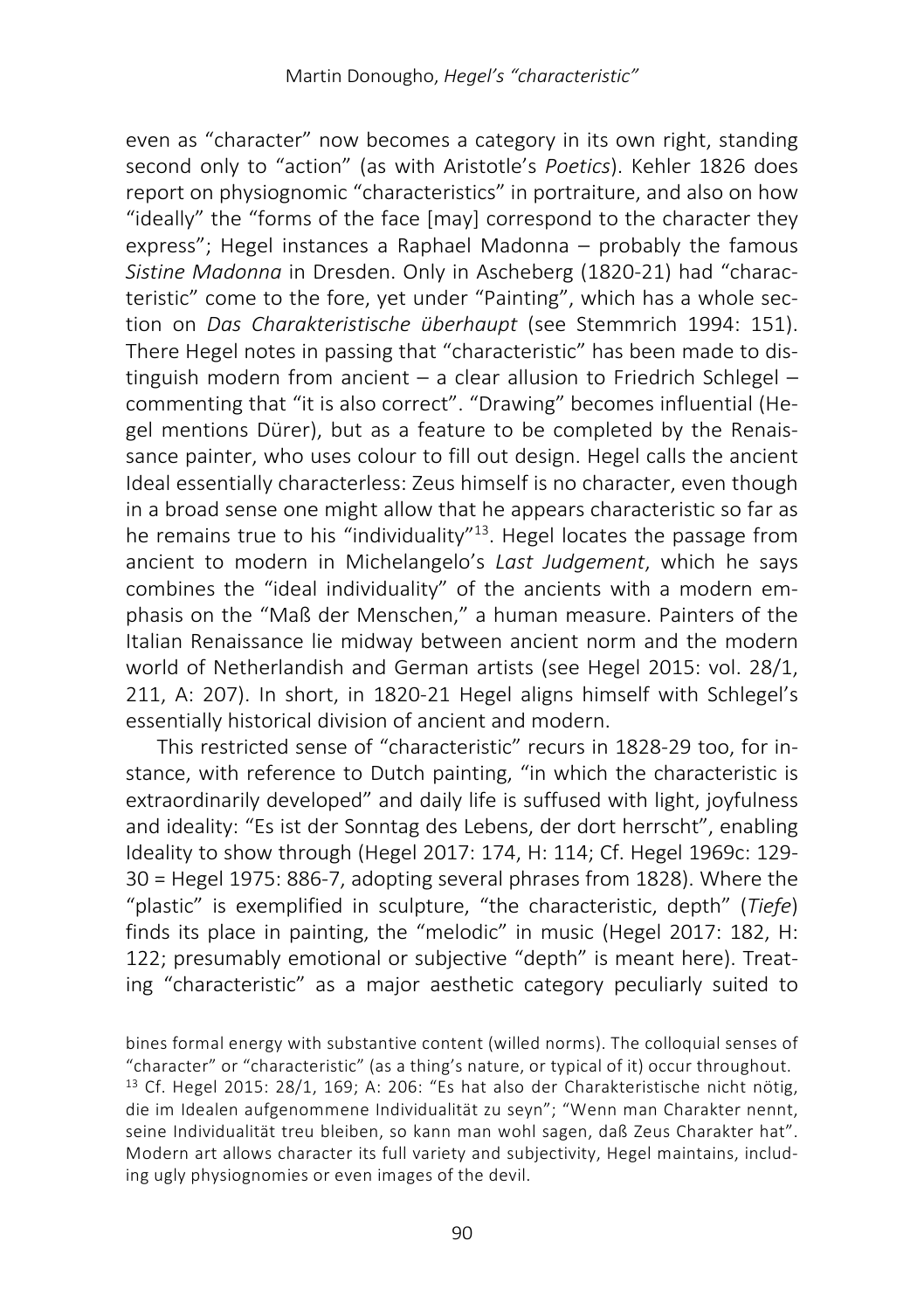even as "character" now becomes a category in its own right, standing second only to "action" (as with Aristotle's *Poetics*). Kehler 1826 does report on physiognomic "characteristics" in portraiture, and also on how "ideally" the "forms of the face [may] correspond to the character they express"; Hegel instances a Raphael Madonna – probably the famous *Sistine Madonna* in Dresden. Only in Ascheberg (1820-21) had "characteristic" come to the fore, yet under "Painting", which has a whole section on *Das Charakteristische überhaupt* (see Stemmrich 1994: 151). There Hegel notes in passing that "characteristic" has been made to distinguish modern from ancient  $-$  a clear allusion to Friedrich Schlegel  $$ commenting that "it is also correct". "Drawing" becomes influential (Hegel mentions Dürer), but as a feature to be completed by the Renaissance painter, who uses colour to fill out design. Hegel calls the ancient Ideal essentially characterless: Zeus himself is no character, even though in a broad sense one might allow that he appears characteristic so far as he remains true to his "individuality"13. Hegel locates the passage from ancient to modern in Michelangelo's *Last Judgement*, which he says combines the "ideal individuality" of the ancients with a modern emphasis on the "Maß der Menschen," a human measure. Painters of the Italian Renaissance lie midway between ancient norm and the modern world of Netherlandish and German artists (see Hegel 2015: vol. 28/1, 211, A: 207). In short, in 1820-21 Hegel aligns himself with Schlegel's essentially historical division of ancient and modern.

This restricted sense of "characteristic" recurs in 1828-29 too, for instance, with reference to Dutch painting, "in which the characteristic is extraordinarily developed" and daily life is suffused with light, joyfulness and ideality: "Es ist der Sonntag des Lebens, der dort herrscht", enabling Ideality to show through (Hegel 2017: 174, H: 114; Cf. Hegel 1969c: 129- 30 = Hegel 1975: 886-7, adopting several phrases from 1828). Where the "plastic" is exemplified in sculpture, "the characteristic, depth" (*Tiefe*) finds its place in painting, the "melodic" in music (Hegel 2017: 182, H: 122; presumably emotional or subjective "depth" is meant here). Treating "characteristic" as a major aesthetic category peculiarly suited to

bines formal energy with substantive content (willed norms). The colloquial senses of "character" or "characteristic" (as a thing's nature, or typical of it) occur throughout. <sup>13</sup> Cf. Hegel 2015: 28/1, 169; A: 206: "Es hat also der Charakteristische nicht nötig, die im Idealen aufgenommene Individualität zu seyn"; "Wenn man Charakter nennt, seine Individualität treu bleiben, so kann man wohl sagen, daß Zeus Charakter hat". Modern art allows character its full variety and subjectivity, Hegel maintains, including ugly physiognomies or even images of the devil.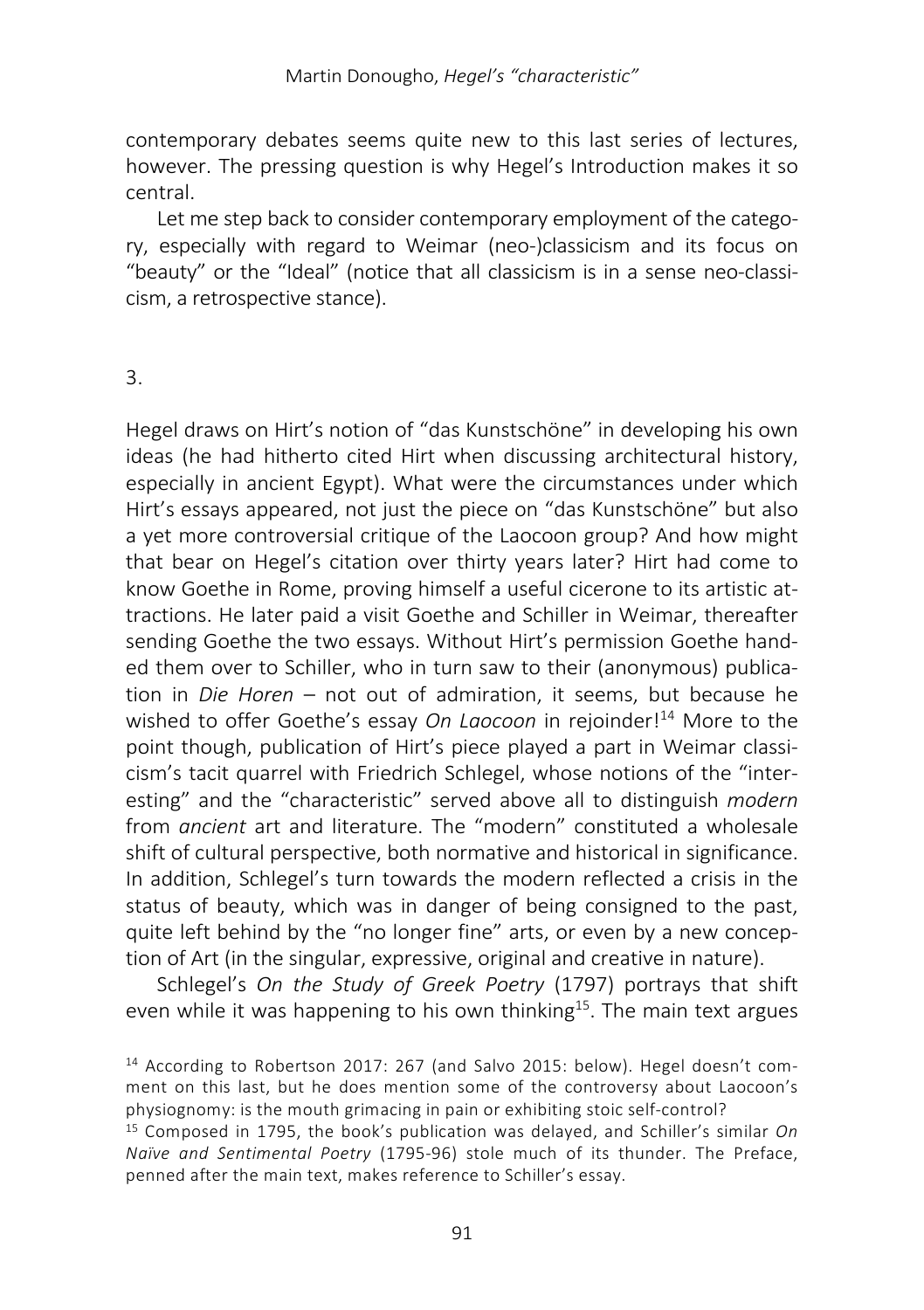contemporary debates seems quite new to this last series of lectures, however. The pressing question is why Hegel's Introduction makes it so central.

Let me step back to consider contemporary employment of the category, especially with regard to Weimar (neo-)classicism and its focus on "beauty" or the "Ideal" (notice that all classicism is in a sense neo-classicism, a retrospective stance).

#### 3.

Hegel draws on Hirt's notion of "das Kunstschöne" in developing his own ideas (he had hitherto cited Hirt when discussing architectural history, especially in ancient Egypt). What were the circumstances under which Hirt's essays appeared, not just the piece on "das Kunstschöne" but also a yet more controversial critique of the Laocoon group? And how might that bear on Hegel's citation over thirty years later? Hirt had come to know Goethe in Rome, proving himself a useful cicerone to its artistic attractions. He later paid a visit Goethe and Schiller in Weimar, thereafter sending Goethe the two essays. Without Hirt's permission Goethe handed them over to Schiller, who in turn saw to their (anonymous) publication in *Die Horen* – not out of admiration, it seems, but because he wished to offer Goethe's essay *On Laocoon* in rejoinder! <sup>14</sup> More to the point though, publication of Hirt's piece played a part in Weimar classicism's tacit quarrel with Friedrich Schlegel, whose notions of the "interesting" and the "characteristic" served above all to distinguish *modern* from *ancient* art and literature. The "modern" constituted a wholesale shift of cultural perspective, both normative and historical in significance. In addition, Schlegel's turn towards the modern reflected a crisis in the status of beauty, which was in danger of being consigned to the past, quite left behind by the "no longer fine" arts, or even by a new conception of Art (in the singular, expressive, original and creative in nature).

Schlegel's *On the Study of Greek Poetry* (1797) portrays that shift even while it was happening to his own thinking<sup>15</sup>. The main text argues

<sup>&</sup>lt;sup>14</sup> According to Robertson 2017: 267 (and Salvo 2015: below). Hegel doesn't comment on this last, but he does mention some of the controversy about Laocoon's physiognomy: is the mouth grimacing in pain or exhibiting stoic self-control?

<sup>15</sup> Composed in 1795, the book's publication was delayed, and Schiller's similar *On Naïve and Sentimental Poetry* (1795-96) stole much of its thunder. The Preface, penned after the main text, makes reference to Schiller's essay.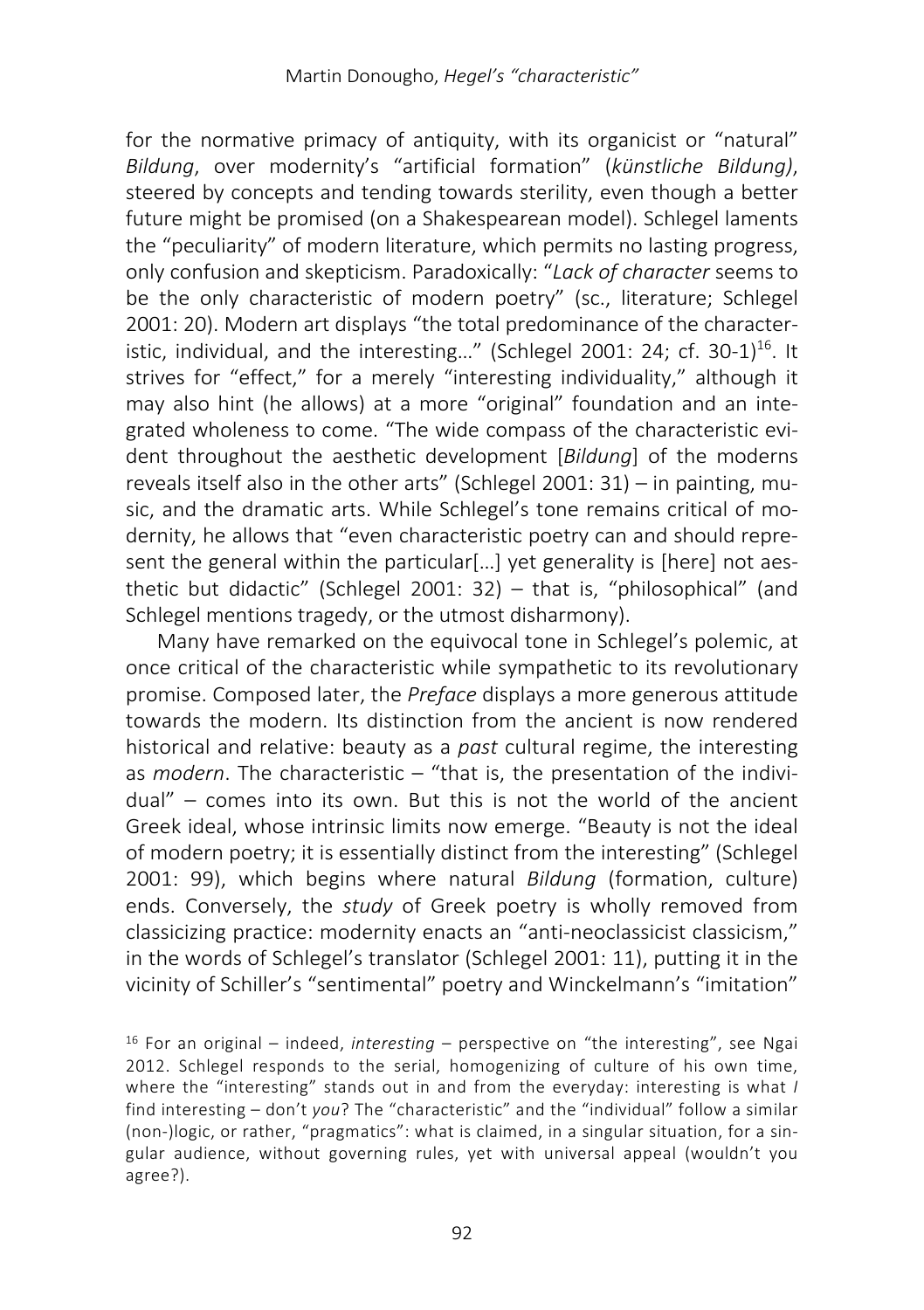for the normative primacy of antiquity, with its organicist or "natural" *Bildung*, over modernity's "artificial formation" (*künstliche Bildung)*, steered by concepts and tending towards sterility, even though a better future might be promised (on a Shakespearean model). Schlegel laments the "peculiarity" of modern literature, which permits no lasting progress, only confusion and skepticism. Paradoxically: "*Lack of character* seems to be the only characteristic of modern poetry" (sc., literature; Schlegel 2001: 20). Modern art displays "the total predominance of the characteristic, individual, and the interesting..." (Schlegel 2001: 24; cf. 30-1) $^{16}$ . It strives for "effect," for a merely "interesting individuality," although it may also hint (he allows) at a more "original" foundation and an integrated wholeness to come. "The wide compass of the characteristic evident throughout the aesthetic development [*Bildung*] of the moderns reveals itself also in the other arts" (Schlegel 2001: 31) – in painting, music, and the dramatic arts. While Schlegel's tone remains critical of modernity, he allows that "even characteristic poetry can and should represent the general within the particular[...] yet generality is [here] not aesthetic but didactic" (Schlegel 2001: 32) – that is, "philosophical" (and Schlegel mentions tragedy, or the utmost disharmony).

Many have remarked on the equivocal tone in Schlegel's polemic, at once critical of the characteristic while sympathetic to its revolutionary promise. Composed later, the *Preface* displays a more generous attitude towards the modern. Its distinction from the ancient is now rendered historical and relative: beauty as a *past* cultural regime, the interesting as *modern*. The characteristic – "that is, the presentation of the individual" – comes into its own. But this is not the world of the ancient Greek ideal, whose intrinsic limits now emerge. "Beauty is not the ideal of modern poetry; it is essentially distinct from the interesting" (Schlegel 2001: 99), which begins where natural *Bildung* (formation, culture) ends. Conversely, the *study* of Greek poetry is wholly removed from classicizing practice: modernity enacts an "anti-neoclassicist classicism," in the words of Schlegel's translator (Schlegel 2001: 11), putting it in the vicinity of Schiller's "sentimental" poetry and Winckelmann's "imitation"

<sup>16</sup> For an original – indeed, *interesting* – perspective on "the interesting", see Ngai 2012. Schlegel responds to the serial, homogenizing of culture of his own time, where the "interesting" stands out in and from the everyday: interesting is what *I* find interesting – don't *you*? The "characteristic" and the "individual" follow a similar (non-)logic, or rather, "pragmatics": what is claimed, in a singular situation, for a singular audience, without governing rules, yet with universal appeal (wouldn't you agree?).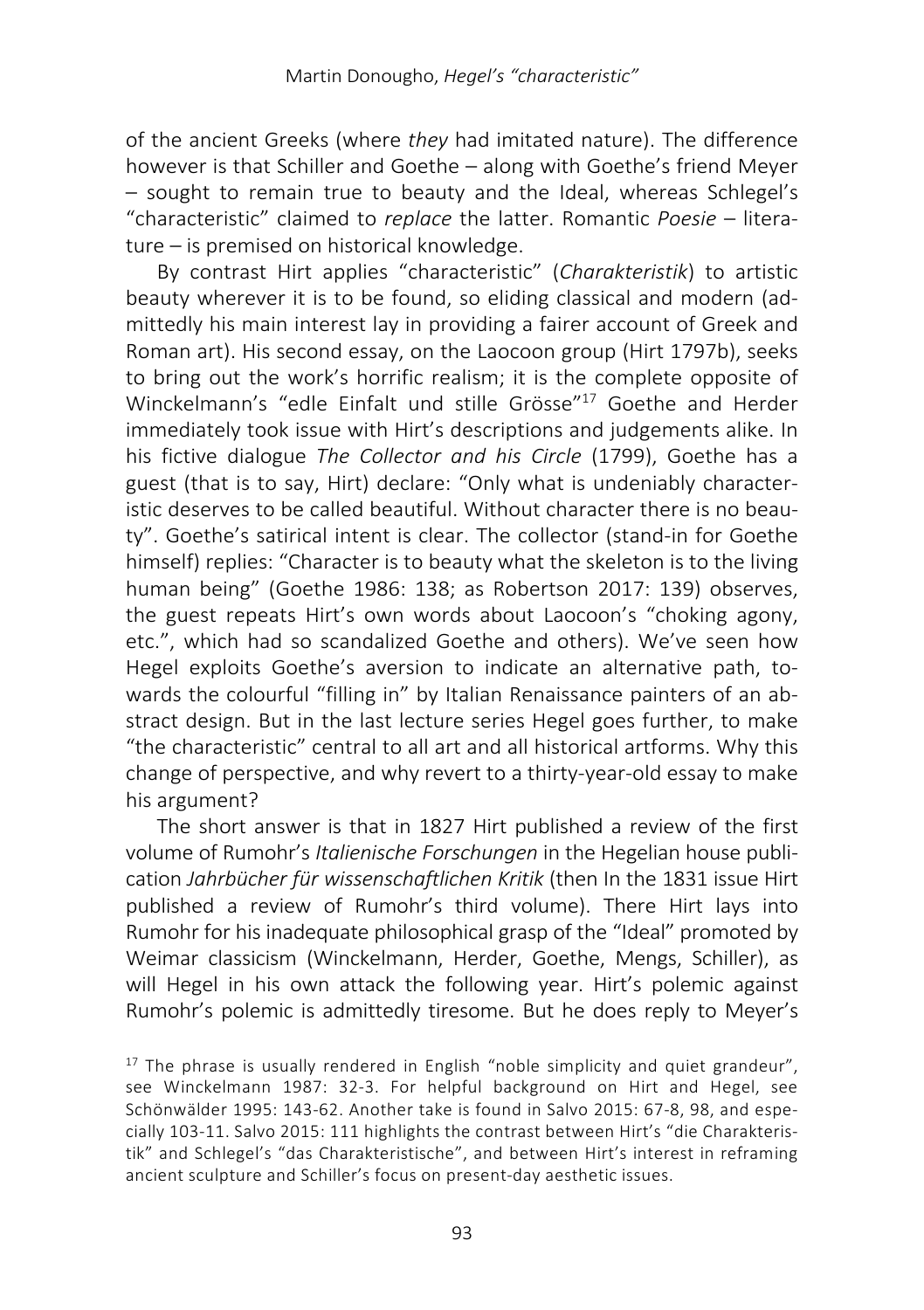of the ancient Greeks (where *they* had imitated nature). The difference however is that Schiller and Goethe – along with Goethe's friend Meyer – sought to remain true to beauty and the Ideal, whereas Schlegel's "characteristic" claimed to *replace* the latter. Romantic *Poesie* – literature – is premised on historical knowledge.

By contrast Hirt applies "characteristic" (*Charakteristik*) to artistic beauty wherever it is to be found, so eliding classical and modern (admittedly his main interest lay in providing a fairer account of Greek and Roman art). His second essay, on the Laocoon group (Hirt 1797b), seeks to bring out the work's horrific realism; it is the complete opposite of Winckelmann's "edle Einfalt und stille Grösse"17 Goethe and Herder immediately took issue with Hirt's descriptions and judgements alike. In his fictive dialogue *The Collector and his Circle* (1799), Goethe has a guest (that is to say, Hirt) declare: "Only what is undeniably characteristic deserves to be called beautiful. Without character there is no beauty". Goethe's satirical intent is clear. The collector (stand-in for Goethe himself) replies: "Character is to beauty what the skeleton is to the living human being" (Goethe 1986: 138; as Robertson 2017: 139) observes, the guest repeats Hirt's own words about Laocoon's "choking agony, etc.", which had so scandalized Goethe and others). We've seen how Hegel exploits Goethe's aversion to indicate an alternative path, towards the colourful "filling in" by Italian Renaissance painters of an abstract design. But in the last lecture series Hegel goes further, to make "the characteristic" central to all art and all historical artforms. Why this change of perspective, and why revert to a thirty-year-old essay to make his argument?

The short answer is that in 1827 Hirt published a review of the first volume of Rumohr's *Italienische Forschungen* in the Hegelian house publication *Jahrbücher für wissenschaftlichen Kritik* (then In the 1831 issue Hirt published a review of Rumohr's third volume). There Hirt lays into Rumohr for his inadequate philosophical grasp of the "Ideal" promoted by Weimar classicism (Winckelmann, Herder, Goethe, Mengs, Schiller), as will Hegel in his own attack the following year. Hirt's polemic against Rumohr's polemic is admittedly tiresome. But he does reply to Meyer's

<sup>&</sup>lt;sup>17</sup> The phrase is usually rendered in English "noble simplicity and quiet grandeur", see Winckelmann 1987: 32-3. For helpful background on Hirt and Hegel, see Schönwälder 1995: 143-62. Another take is found in Salvo 2015: 67-8, 98, and especially 103-11. Salvo 2015: 111 highlights the contrast between Hirt's "die Charakteristik" and Schlegel's "das Charakteristische", and between Hirt's interest in reframing ancient sculpture and Schiller's focus on present-day aesthetic issues.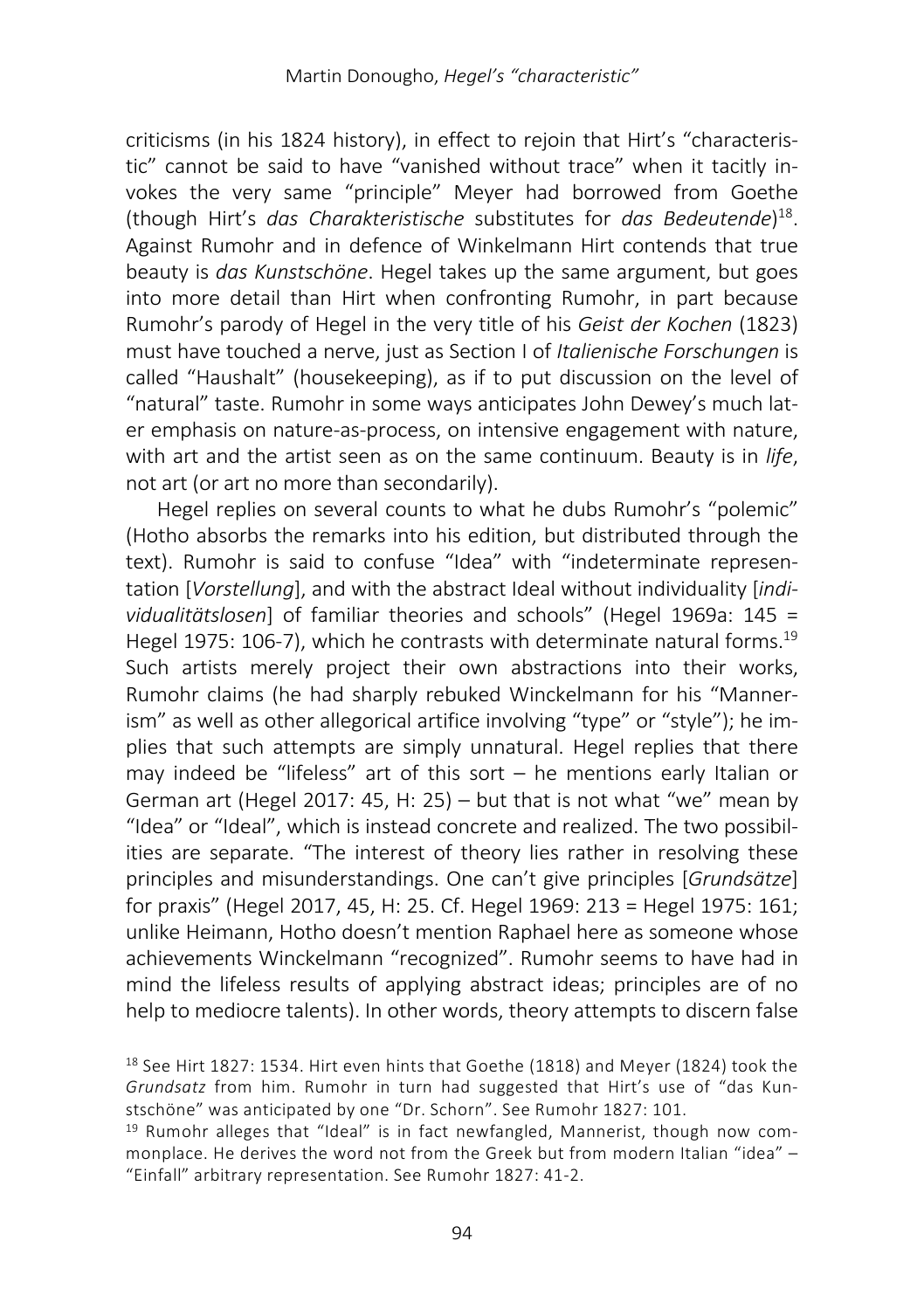criticisms (in his 1824 history), in effect to rejoin that Hirt's "characteristic" cannot be said to have "vanished without trace" when it tacitly invokes the very same "principle" Meyer had borrowed from Goethe (though Hirt's *das Charakteristische* substitutes for *das Bedeutende*) 18. Against Rumohr and in defence of Winkelmann Hirt contends that true beauty is *das Kunstschöne*. Hegel takes up the same argument, but goes into more detail than Hirt when confronting Rumohr, in part because Rumohr's parody of Hegel in the very title of his *Geist der Kochen* (1823) must have touched a nerve, just as Section I of *Italienische Forschungen* is called "Haushalt" (housekeeping), as if to put discussion on the level of "natural" taste. Rumohr in some ways anticipates John Dewey's much later emphasis on nature-as-process, on intensive engagement with nature, with art and the artist seen as on the same continuum. Beauty is in *life*, not art (or art no more than secondarily).

Hegel replies on several counts to what he dubs Rumohr's "polemic" (Hotho absorbs the remarks into his edition, but distributed through the text). Rumohr is said to confuse "Idea" with "indeterminate representation [*Vorstellung*], and with the abstract Ideal without individuality [*individualitätslosen*] of familiar theories and schools" (Hegel 1969a: 145 = Hegel 1975: 106-7), which he contrasts with determinate natural forms.<sup>19</sup> Such artists merely project their own abstractions into their works, Rumohr claims (he had sharply rebuked Winckelmann for his "Mannerism" as well as other allegorical artifice involving "type" or "style"); he implies that such attempts are simply unnatural. Hegel replies that there may indeed be "lifeless" art of this sort – he mentions early Italian or German art (Hegel 2017: 45, H: 25) – but that is not what "we" mean by "Idea" or "Ideal", which is instead concrete and realized. The two possibilities are separate. "The interest of theory lies rather in resolving these principles and misunderstandings. One can't give principles [*Grundsätze*] for praxis" (Hegel 2017, 45, H: 25. Cf. Hegel 1969: 213 = Hegel 1975: 161; unlike Heimann, Hotho doesn't mention Raphael here as someone whose achievements Winckelmann "recognized". Rumohr seems to have had in mind the lifeless results of applying abstract ideas; principles are of no help to mediocre talents). In other words, theory attempts to discern false

<sup>18</sup> See Hirt 1827: 1534. Hirt even hints that Goethe (1818) and Meyer (1824) took the *Grundsatz* from him. Rumohr in turn had suggested that Hirt's use of "das Kunstschöne" was anticipated by one "Dr. Schorn". See Rumohr 1827: 101.

<sup>19</sup> Rumohr alleges that "Ideal" is in fact newfangled, Mannerist, though now commonplace. He derives the word not from the Greek but from modern Italian "idea" – "Einfall" arbitrary representation. See Rumohr 1827: 41-2.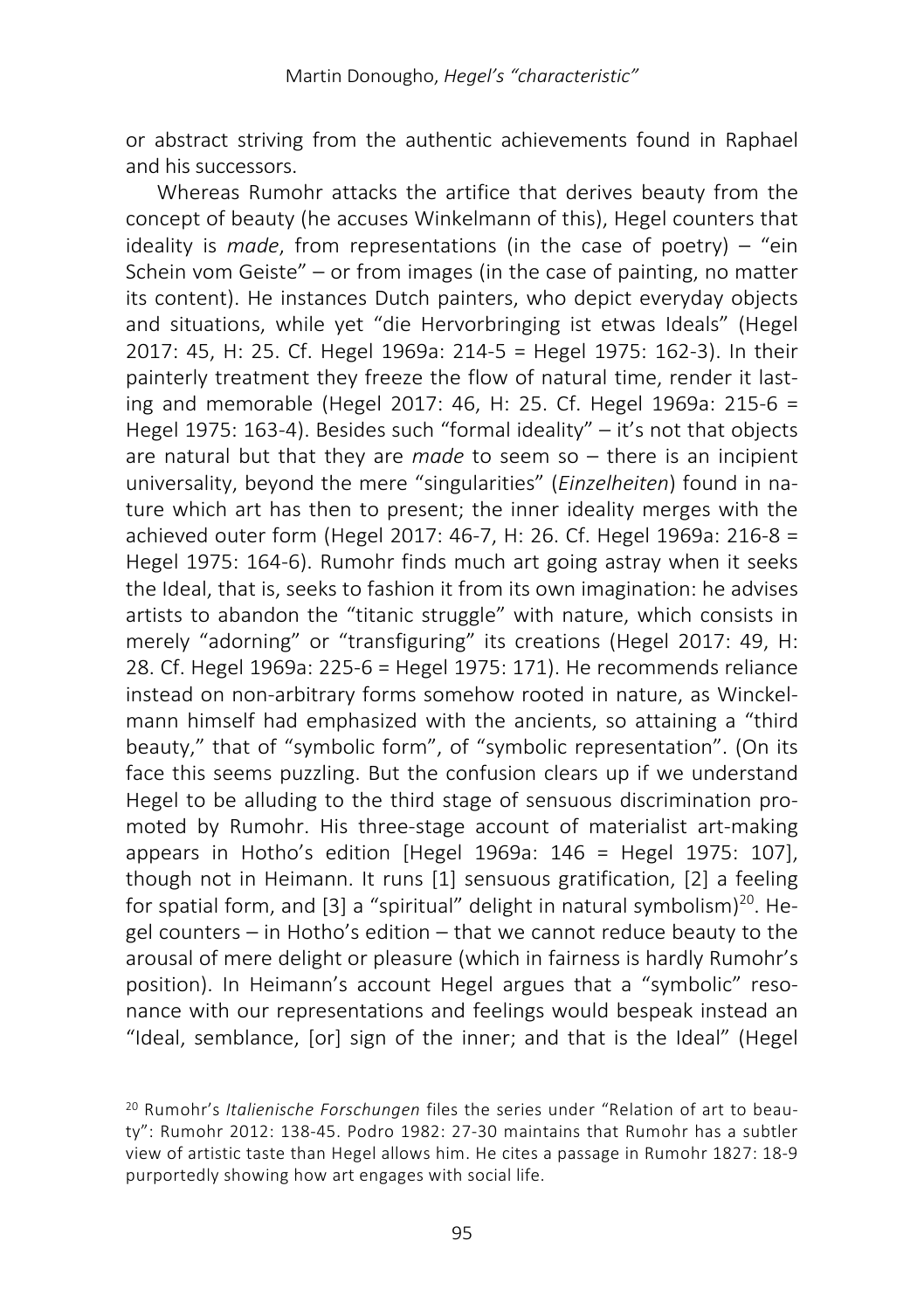or abstract striving from the authentic achievements found in Raphael and his successors.

Whereas Rumohr attacks the artifice that derives beauty from the concept of beauty (he accuses Winkelmann of this), Hegel counters that ideality is *made*, from representations (in the case of poetry) – "ein Schein vom Geiste" – or from images (in the case of painting, no matter its content). He instances Dutch painters, who depict everyday objects and situations, while yet "die Hervorbringing ist etwas Ideals" (Hegel 2017: 45, H: 25. Cf. Hegel 1969a: 214-5 = Hegel 1975: 162-3). In their painterly treatment they freeze the flow of natural time, render it lasting and memorable (Hegel 2017: 46, H: 25. Cf. Hegel 1969a: 215-6 = Hegel 1975: 163-4). Besides such "formal ideality" – it's not that objects are natural but that they are *made* to seem so – there is an incipient universality, beyond the mere "singularities" (*Einzelheiten*) found in nature which art has then to present; the inner ideality merges with the achieved outer form (Hegel 2017: 46-7, H: 26. Cf. Hegel 1969a: 216-8 = Hegel 1975: 164-6). Rumohr finds much art going astray when it seeks the Ideal, that is, seeks to fashion it from its own imagination: he advises artists to abandon the "titanic struggle" with nature, which consists in merely "adorning" or "transfiguring" its creations (Hegel 2017: 49, H: 28. Cf. Hegel 1969a: 225-6 = Hegel 1975: 171). He recommends reliance instead on non-arbitrary forms somehow rooted in nature, as Winckelmann himself had emphasized with the ancients, so attaining a "third beauty," that of "symbolic form", of "symbolic representation". (On its face this seems puzzling. But the confusion clears up if we understand Hegel to be alluding to the third stage of sensuous discrimination promoted by Rumohr. His three-stage account of materialist art-making appears in Hotho's edition [Hegel 1969a: 146 = Hegel 1975: 107], though not in Heimann. It runs [1] sensuous gratification, [2] a feeling for spatial form, and [3] a "spiritual" delight in natural symbolism)<sup>20</sup>. Hegel counters – in Hotho's edition – that we cannot reduce beauty to the arousal of mere delight or pleasure (which in fairness is hardly Rumohr's position). In Heimann's account Hegel argues that a "symbolic" resonance with our representations and feelings would bespeak instead an "Ideal, semblance, [or] sign of the inner; and that is the Ideal" (Hegel

<sup>20</sup> Rumohr's *Italienische Forschungen* files the series under "Relation of art to beauty": Rumohr 2012: 138-45. Podro 1982: 27-30 maintains that Rumohr has a subtler view of artistic taste than Hegel allows him. He cites a passage in Rumohr 1827: 18-9 purportedly showing how art engages with social life.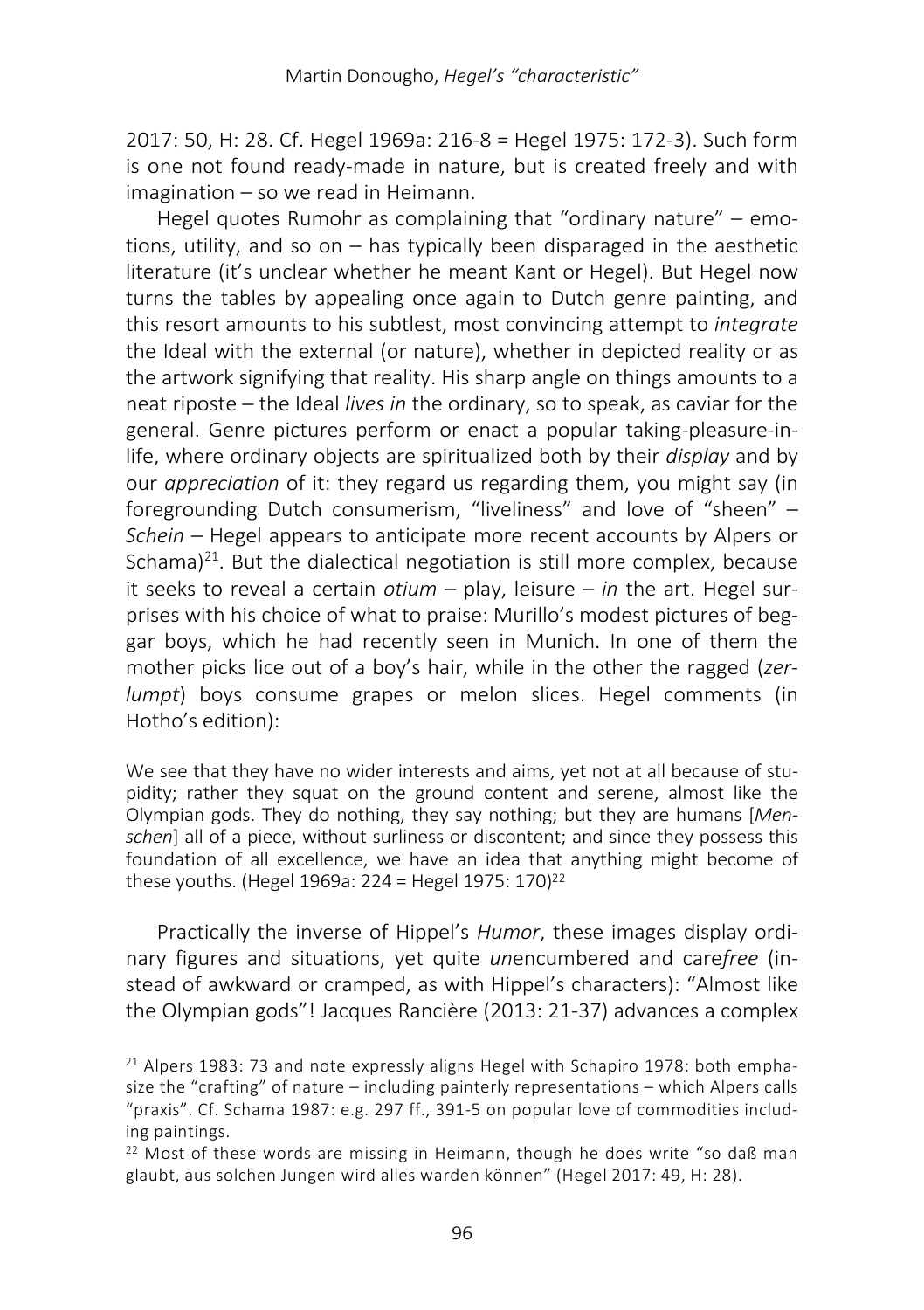2017: 50, H: 28. Cf. Hegel 1969a: 216-8 = Hegel 1975: 172-3). Such form is one not found ready-made in nature, but is created freely and with imagination – so we read in Heimann.

Hegel quotes Rumohr as complaining that "ordinary nature" – emotions, utility, and so on – has typically been disparaged in the aesthetic literature (it's unclear whether he meant Kant or Hegel). But Hegel now turns the tables by appealing once again to Dutch genre painting, and this resort amounts to his subtlest, most convincing attempt to *integrate* the Ideal with the external (or nature), whether in depicted reality or as the artwork signifying that reality. His sharp angle on things amounts to a neat riposte – the Ideal *lives in* the ordinary, so to speak, as caviar for the general. Genre pictures perform or enact a popular taking-pleasure-inlife, where ordinary objects are spiritualized both by their *display* and by our *appreciation* of it: they regard us regarding them, you might say (in foregrounding Dutch consumerism, "liveliness" and love of "sheen" – *Schein* – Hegel appears to anticipate more recent accounts by Alpers or Schama)<sup>21</sup>. But the dialectical negotiation is still more complex, because it seeks to reveal a certain *otium* – play, leisure – *in* the art. Hegel surprises with his choice of what to praise: Murillo's modest pictures of beggar boys, which he had recently seen in Munich. In one of them the mother picks lice out of a boy's hair, while in the other the ragged (*zerlumpt*) boys consume grapes or melon slices. Hegel comments (in Hotho's edition):

We see that they have no wider interests and aims, yet not at all because of stupidity; rather they squat on the ground content and serene, almost like the Olympian gods. They do nothing, they say nothing; but they are humans [*Menschen*] all of a piece, without surliness or discontent; and since they possess this foundation of all excellence, we have an idea that anything might become of these youths. (Hegel 1969a: 224 = Hegel 1975: 170)22

Practically the inverse of Hippel's *Humor*, these images display ordinary figures and situations, yet quite *un*encumbered and care*free* (instead of awkward or cramped, as with Hippel's characters): "Almost like the Olympian gods"! Jacques Rancière (2013: 21-37) advances a complex

<sup>21</sup> Alpers 1983: 73 and note expressly aligns Hegel with Schapiro 1978: both emphasize the "crafting" of nature – including painterly representations – which Alpers calls "praxis". Cf. Schama 1987: e.g. 297 ff., 391-5 on popular love of commodities including paintings.

<sup>&</sup>lt;sup>22</sup> Most of these words are missing in Heimann, though he does write "so daß man glaubt, aus solchen Jungen wird alles warden können" (Hegel 2017: 49, H: 28).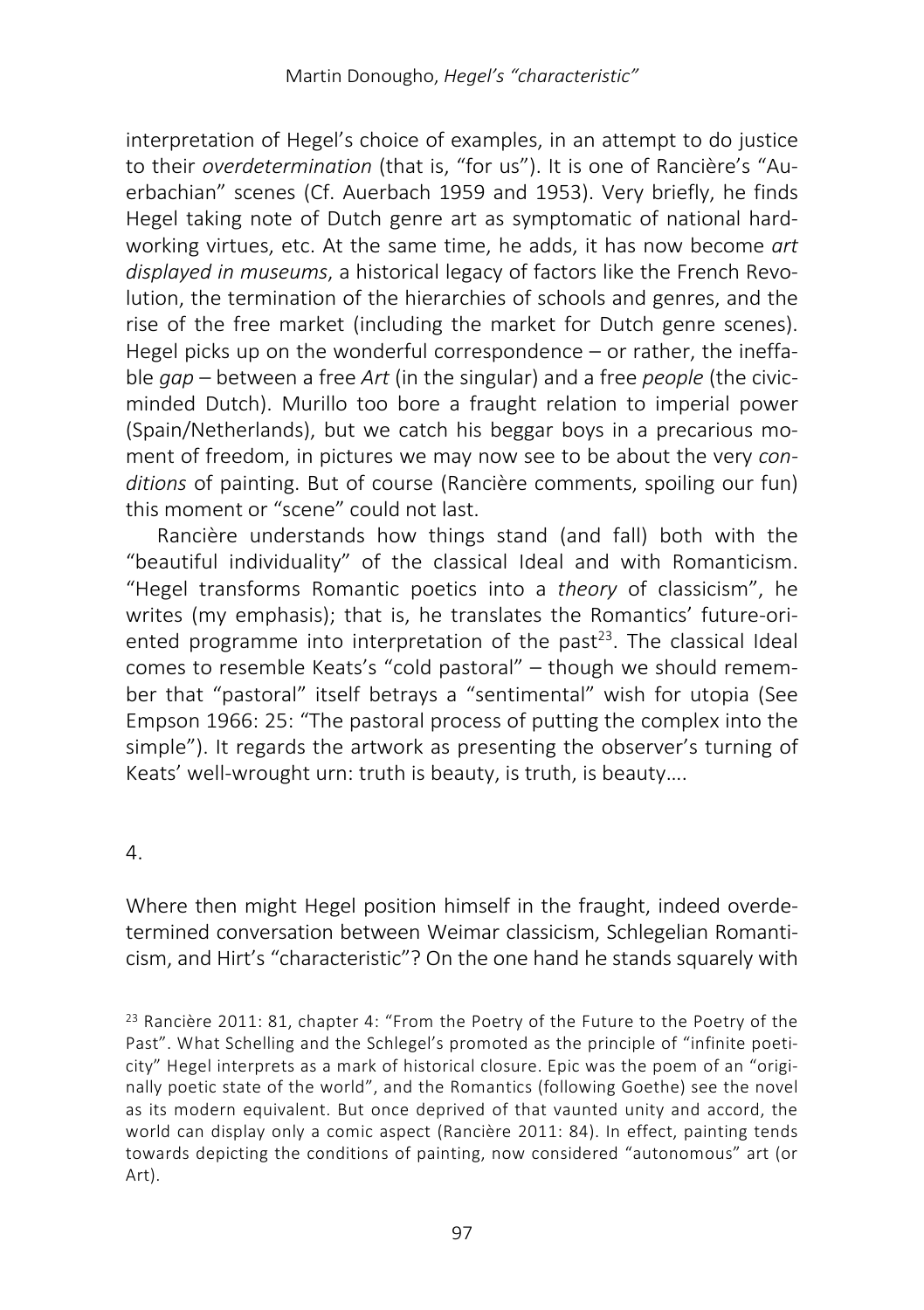interpretation of Hegel's choice of examples, in an attempt to do justice to their *overdetermination* (that is, "for us"). It is one of Rancière's "Auerbachian" scenes (Cf. Auerbach 1959 and 1953). Very briefly, he finds Hegel taking note of Dutch genre art as symptomatic of national hardworking virtues, etc. At the same time, he adds, it has now become *art displayed in museums*, a historical legacy of factors like the French Revolution, the termination of the hierarchies of schools and genres, and the rise of the free market (including the market for Dutch genre scenes). Hegel picks up on the wonderful correspondence – or rather, the ineffable *gap* – between a free *Art* (in the singular) and a free *people* (the civicminded Dutch). Murillo too bore a fraught relation to imperial power (Spain/Netherlands), but we catch his beggar boys in a precarious moment of freedom, in pictures we may now see to be about the very *conditions* of painting. But of course (Rancière comments, spoiling our fun) this moment or "scene" could not last.

Rancière understands how things stand (and fall) both with the "beautiful individuality" of the classical Ideal and with Romanticism. "Hegel transforms Romantic poetics into a *theory* of classicism", he writes (my emphasis); that is, he translates the Romantics' future-oriented programme into interpretation of the past<sup>23</sup>. The classical Ideal comes to resemble Keats's "cold pastoral" – though we should remember that "pastoral" itself betrays a "sentimental" wish for utopia (See Empson 1966: 25: "The pastoral process of putting the complex into the simple"). It regards the artwork as presenting the observer's turning of Keats' well-wrought urn: truth is beauty, is truth, is beauty….

4.

Where then might Hegel position himself in the fraught, indeed overdetermined conversation between Weimar classicism, Schlegelian Romanticism, and Hirt's "characteristic"? On the one hand he stands squarely with

<sup>23</sup> Rancière 2011: 81, chapter 4: "From the Poetry of the Future to the Poetry of the Past". What Schelling and the Schlegel's promoted as the principle of "infinite poeticity" Hegel interprets as a mark of historical closure. Epic was the poem of an "originally poetic state of the world", and the Romantics (following Goethe) see the novel as its modern equivalent. But once deprived of that vaunted unity and accord, the world can display only a comic aspect (Rancière 2011: 84). In effect, painting tends towards depicting the conditions of painting, now considered "autonomous" art (or Art).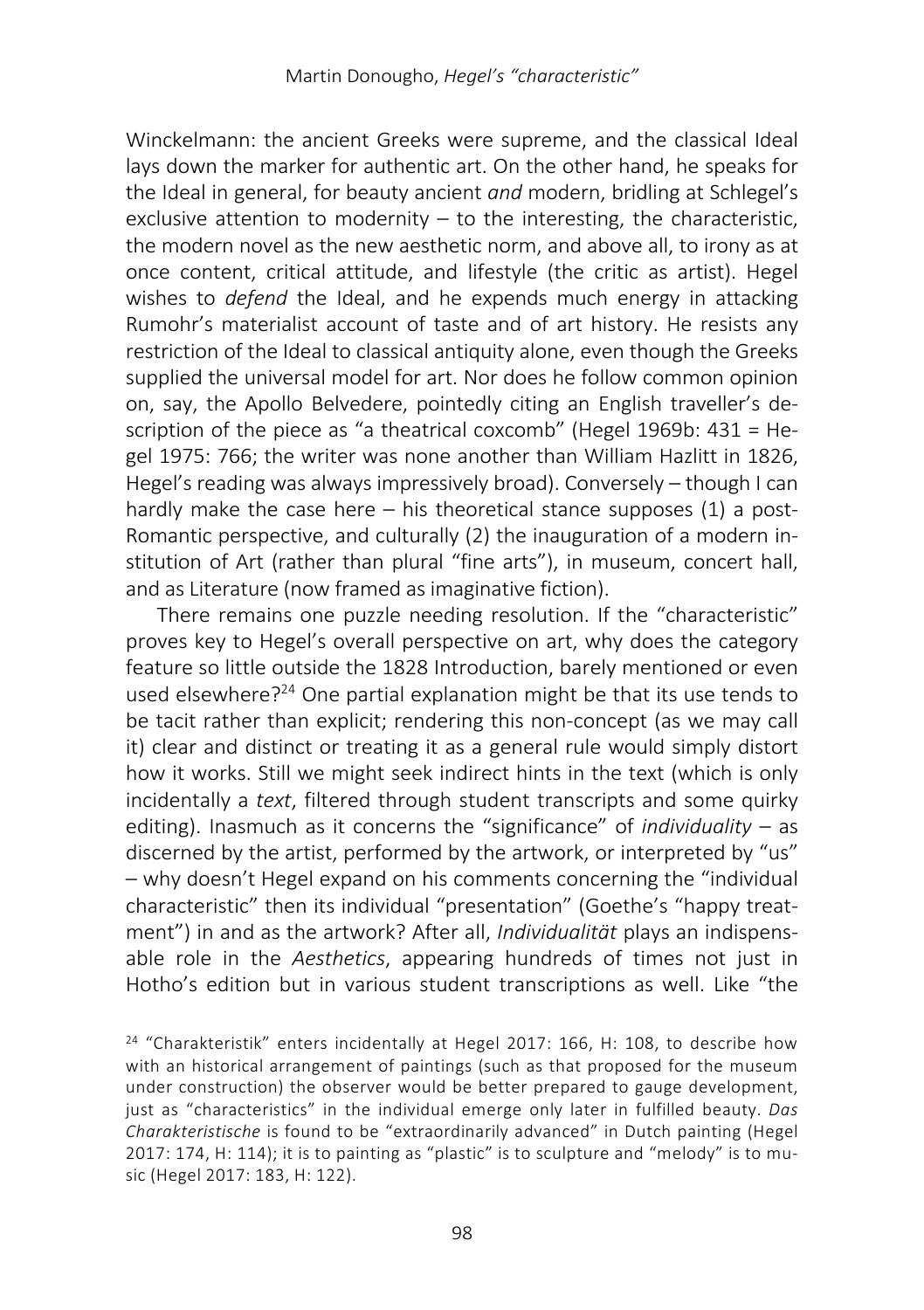Winckelmann: the ancient Greeks were supreme, and the classical Ideal lays down the marker for authentic art. On the other hand, he speaks for the Ideal in general, for beauty ancient *and* modern, bridling at Schlegel's exclusive attention to modernity  $-$  to the interesting, the characteristic, the modern novel as the new aesthetic norm, and above all, to irony as at once content, critical attitude, and lifestyle (the critic as artist). Hegel wishes to *defend* the Ideal, and he expends much energy in attacking Rumohr's materialist account of taste and of art history. He resists any restriction of the Ideal to classical antiquity alone, even though the Greeks supplied the universal model for art. Nor does he follow common opinion on, say, the Apollo Belvedere, pointedly citing an English traveller's description of the piece as "a theatrical coxcomb" (Hegel 1969b: 431 = Hegel 1975: 766; the writer was none another than William Hazlitt in 1826, Hegel's reading was always impressively broad). Conversely – though I can hardly make the case here  $-$  his theoretical stance supposes (1) a post-Romantic perspective, and culturally (2) the inauguration of a modern institution of Art (rather than plural "fine arts"), in museum, concert hall, and as Literature (now framed as imaginative fiction).

There remains one puzzle needing resolution. If the "characteristic" proves key to Hegel's overall perspective on art, why does the category feature so little outside the 1828 Introduction, barely mentioned or even used elsewhere?<sup>24</sup> One partial explanation might be that its use tends to be tacit rather than explicit; rendering this non-concept (as we may call it) clear and distinct or treating it as a general rule would simply distort how it works. Still we might seek indirect hints in the text (which is only incidentally a *text*, filtered through student transcripts and some quirky editing). Inasmuch as it concerns the "significance" of *individuality* – as discerned by the artist, performed by the artwork, or interpreted by "us" – why doesn't Hegel expand on his comments concerning the "individual characteristic" then its individual "presentation" (Goethe's "happy treatment") in and as the artwork? After all, *Individualität* plays an indispensable role in the *Aesthetics*, appearing hundreds of times not just in Hotho's edition but in various student transcriptions as well. Like "the

<sup>24</sup> "Charakteristik" enters incidentally at Hegel 2017: 166, H: 108, to describe how with an historical arrangement of paintings (such as that proposed for the museum under construction) the observer would be better prepared to gauge development, just as "characteristics" in the individual emerge only later in fulfilled beauty. *Das Charakteristische* is found to be "extraordinarily advanced" in Dutch painting (Hegel 2017: 174, H: 114); it is to painting as "plastic" is to sculpture and "melody" is to music (Hegel 2017: 183, H: 122).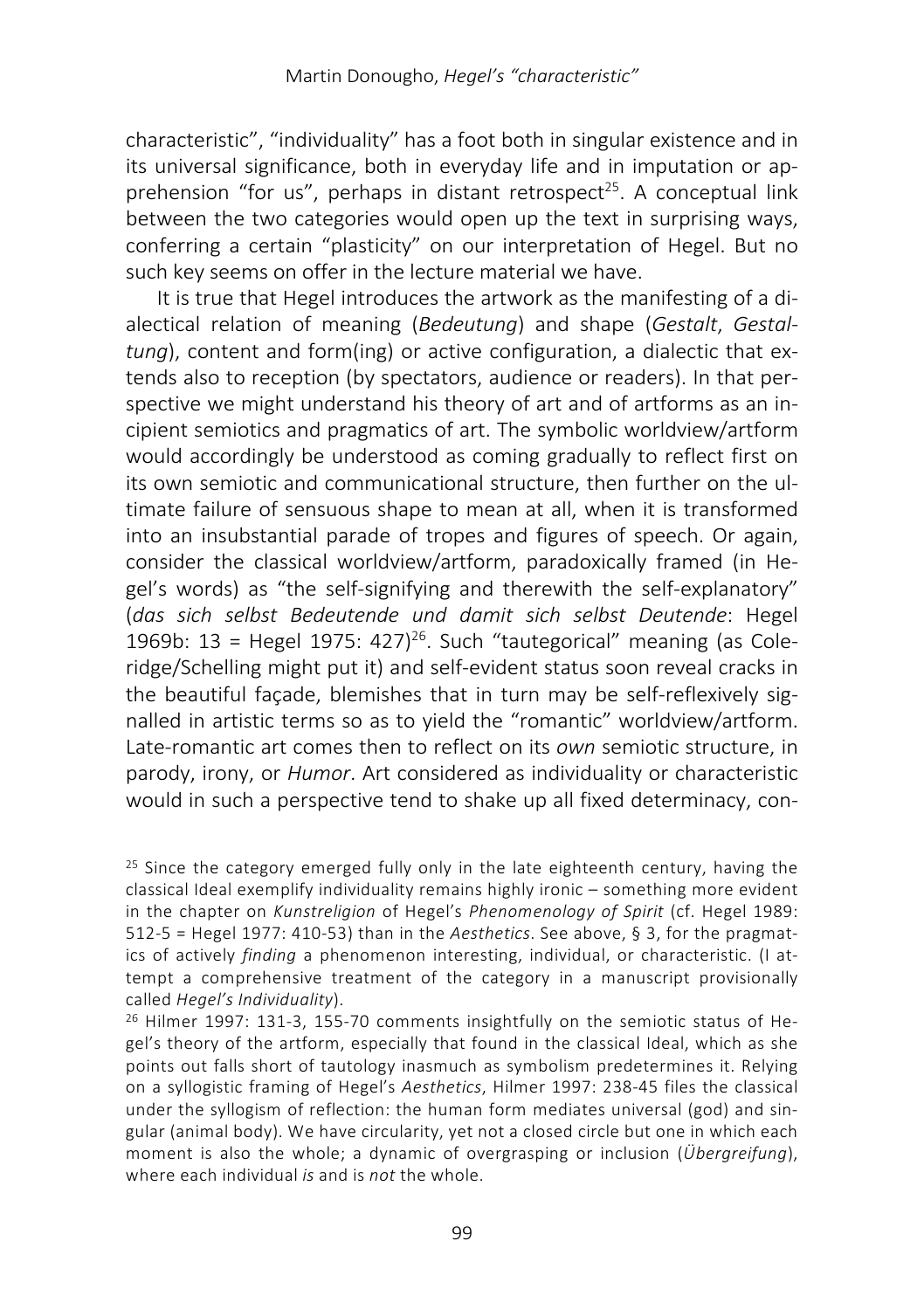characteristic", "individuality" has a foot both in singular existence and in its universal significance, both in everyday life and in imputation or apprehension "for us", perhaps in distant retrospect<sup>25</sup>. A conceptual link between the two categories would open up the text in surprising ways, conferring a certain "plasticity" on our interpretation of Hegel. But no such key seems on offer in the lecture material we have.

It is true that Hegel introduces the artwork as the manifesting of a dialectical relation of meaning (*Bedeutung*) and shape (*Gestalt*, *Gestaltung*), content and form(ing) or active configuration, a dialectic that extends also to reception (by spectators, audience or readers). In that perspective we might understand his theory of art and of artforms as an incipient semiotics and pragmatics of art. The symbolic worldview/artform would accordingly be understood as coming gradually to reflect first on its own semiotic and communicational structure, then further on the ultimate failure of sensuous shape to mean at all, when it is transformed into an insubstantial parade of tropes and figures of speech. Or again, consider the classical worldview/artform, paradoxically framed (in Hegel's words) as "the self-signifying and therewith the self-explanatory" (*das sich selbst Bedeutende und damit sich selbst Deutende*: Hegel 1969b: 13 = Hegel 1975:  $427$ <sup>26</sup>. Such "tautegorical" meaning (as Coleridge/Schelling might put it) and self-evident status soon reveal cracks in the beautiful façade, blemishes that in turn may be self-reflexively signalled in artistic terms so as to yield the "romantic" worldview/artform. Late-romantic art comes then to reflect on its *own* semiotic structure, in parody, irony, or *Humor*. Art considered as individuality or characteristic would in such a perspective tend to shake up all fixed determinacy, con-

 $25$  Since the category emerged fully only in the late eighteenth century, having the classical Ideal exemplify individuality remains highly ironic – something more evident in the chapter on *Kunstreligion* of Hegel's *Phenomenology of Spirit* (cf. Hegel 1989: 512-5 = Hegel 1977: 410-53) than in the *Aesthetics*. See above, § 3, for the pragmatics of actively *finding* a phenomenon interesting, individual, or characteristic. (I attempt a comprehensive treatment of the category in a manuscript provisionally called *Hegel's Individuality*).

<sup>26</sup> Hilmer 1997: 131-3, 155-70 comments insightfully on the semiotic status of Hegel's theory of the artform, especially that found in the classical Ideal, which as she points out falls short of tautology inasmuch as symbolism predetermines it. Relying on a syllogistic framing of Hegel's *Aesthetics*, Hilmer 1997: 238-45 files the classical under the syllogism of reflection: the human form mediates universal (god) and singular (animal body). We have circularity, yet not a closed circle but one in which each moment is also the whole; a dynamic of overgrasping or inclusion (*Übergreifung*), where each individual *is* and is *not* the whole.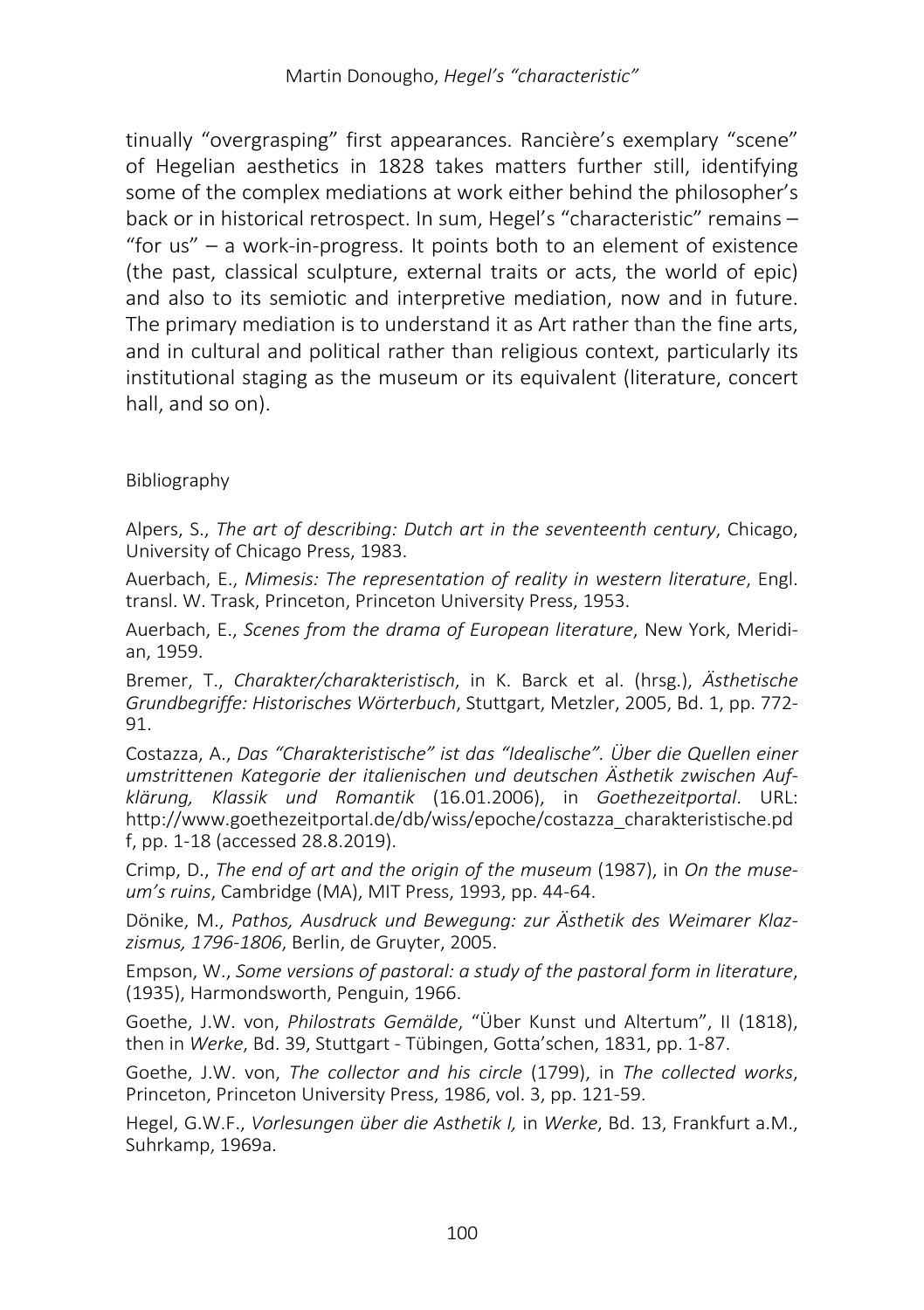tinually "overgrasping" first appearances. Rancière's exemplary "scene" of Hegelian aesthetics in 1828 takes matters further still, identifying some of the complex mediations at work either behind the philosopher's back or in historical retrospect. In sum, Hegel's "characteristic" remains – "for us" – a work-in-progress. It points both to an element of existence (the past, classical sculpture, external traits or acts, the world of epic) and also to its semiotic and interpretive mediation, now and in future. The primary mediation is to understand it as Art rather than the fine arts, and in cultural and political rather than religious context, particularly its institutional staging as the museum or its equivalent (literature, concert hall, and so on).

## Bibliography

Alpers, S., *The art of describing: Dutch art in the seventeenth century*, Chicago, University of Chicago Press, 1983.

Auerbach, E., *Mimesis: The representation of reality in western literature*, Engl. transl. W. Trask, Princeton, Princeton University Press, 1953.

Auerbach, E., *Scenes from the drama of European literature*, New York, Meridian, 1959.

Bremer, T., *Charakter/charakteristisch*, in K. Barck et al. (hrsg.), *Ästhetische Grundbegriffe: Historisches Wörterbuch*, Stuttgart, Metzler, 2005, Bd. 1, pp. 772- 91.

Costazza, A., *Das "Charakteristische" ist das "Idealische". Über die Quellen einer umstrittenen Kategorie der italienischen und deutschen Ästhetik zwischen Aufklärung, Klassik und Romantik* (16.01.2006), in *Goethezeitportal*. URL: http://www.goethezeitportal.de/db/wiss/epoche/costazza\_charakteristische.pd f, pp. 1-18 (accessed 28.8.2019).

Crimp, D., *The end of art and the origin of the museum* (1987), in *On the museum's ruins*, Cambridge (MA), MIT Press, 1993, pp. 44-64.

Dönike, M., *Pathos, Ausdruck und Bewegung: zur Ästhetik des Weimarer Klazzismus, 1796-1806*, Berlin, de Gruyter, 2005.

Empson, W., *Some versions of pastoral: a study of the pastoral form in literature*, (1935), Harmondsworth, Penguin, 1966.

Goethe, J.W. von, *Philostrats Gemälde*, "Über Kunst und Altertum", II (1818), then in *Werke*, Bd. 39, Stuttgart - Tübingen, Gotta'schen, 1831, pp. 1-87.

Goethe, J.W. von, *The collector and his circle* (1799), in *The collected works*, Princeton, Princeton University Press, 1986, vol. 3, pp. 121-59.

Hegel, G.W.F., *Vorlesungen über die Asthetik I,* in *Werke*, Bd. 13, Frankfurt a.M., Suhrkamp, 1969a.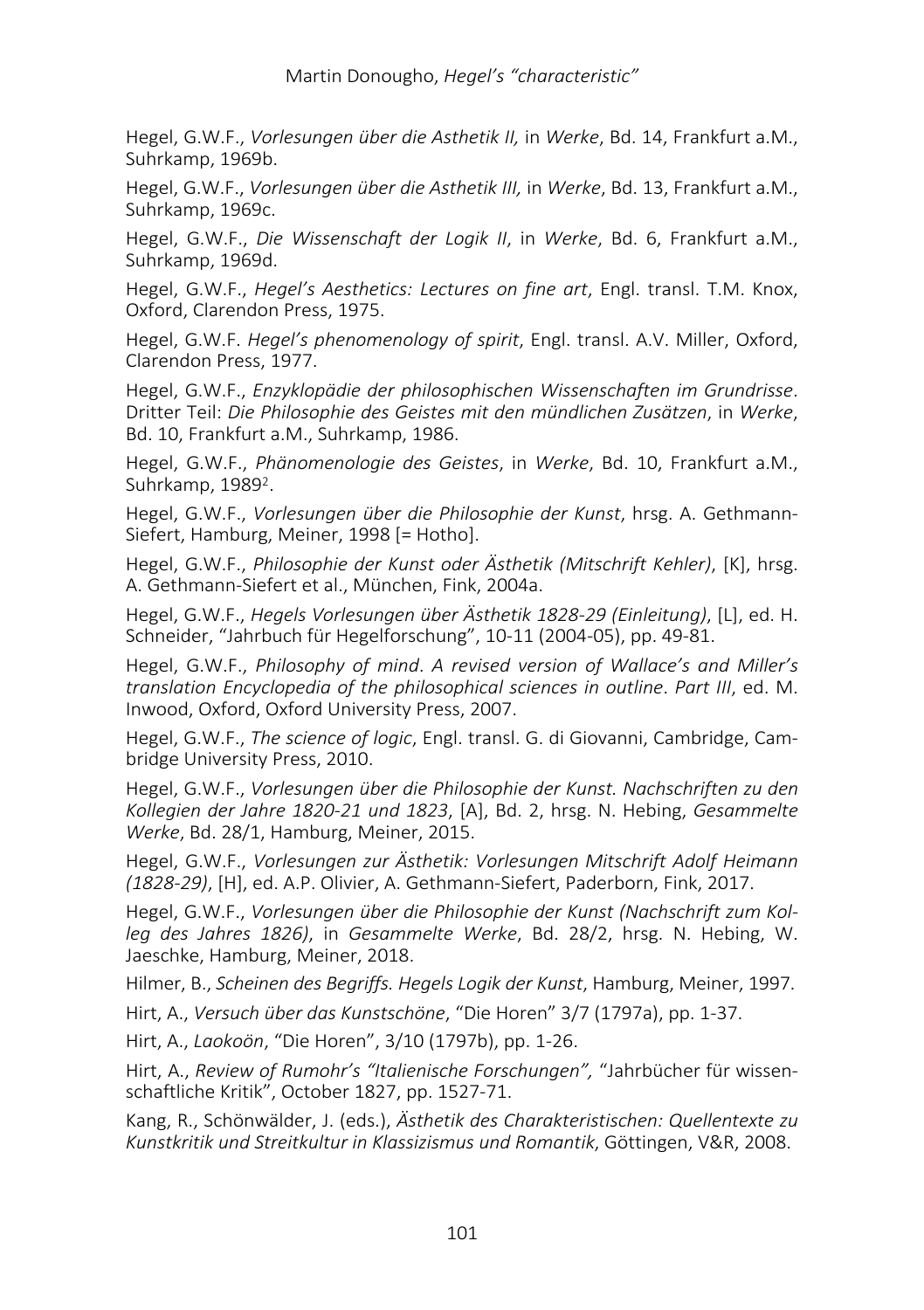Hegel, G.W.F., *Vorlesungen über die Asthetik II,* in *Werke*, Bd. 14, Frankfurt a.M., Suhrkamp, 1969b.

Hegel, G.W.F., *Vorlesungen über die Asthetik III,* in *Werke*, Bd. 13, Frankfurt a.M., Suhrkamp, 1969c.

Hegel, G.W.F., *Die Wissenschaft der Logik II*, in *Werke*, Bd. 6, Frankfurt a.M., Suhrkamp, 1969d.

Hegel, G.W.F., *Hegel's Aesthetics: Lectures on fine art*, Engl. transl. T.M. Knox, Oxford, Clarendon Press, 1975.

Hegel, G.W.F. *Hegel's phenomenology of spirit*, Engl. transl. A.V. Miller, Oxford, Clarendon Press, 1977.

Hegel, G.W.F., *Enzyklopädie der philosophischen Wissenschaften im Grundrisse*. Dritter Teil: *Die Philosophie des Geistes mit den mündlichen Zusätzen*, in *Werke*, Bd. 10, Frankfurt a.M., Suhrkamp, 1986.

Hegel, G.W.F., *Phänomenologie des Geistes*, in *Werke*, Bd. 10, Frankfurt a.M., Suhrkamp, 19892.

Hegel, G.W.F., *Vorlesungen über die Philosophie der Kunst*, hrsg. A. Gethmann-Siefert, Hamburg, Meiner, 1998 [= Hotho].

Hegel, G.W.F., *Philosophie der Kunst oder Ästhetik (Mitschrift Kehler)*, [K], hrsg. A. Gethmann-Siefert et al., München, Fink, 2004a.

Hegel, G.W.F., *Hegels Vorlesungen über Ästhetik 1828-29 (Einleitung)*, [L], ed. H. Schneider, "Jahrbuch für Hegelforschung", 10-11 (2004-05), pp. 49-81.

Hegel, G.W.F., *Philosophy of mind*. *A revised version of Wallace's and Miller's translation Encyclopedia of the philosophical sciences in outline*. *Part III*, ed. M. Inwood, Oxford, Oxford University Press, 2007.

Hegel, G.W.F., *The science of logic*, Engl. transl. G. di Giovanni, Cambridge, Cambridge University Press, 2010.

Hegel, G.W.F., *Vorlesungen über die Philosophie der Kunst. Nachschriften zu den Kollegien der Jahre 1820-21 und 1823*, [A], Bd. 2, hrsg. N. Hebing, *Gesammelte Werke*, Bd. 28/1, Hamburg, Meiner, 2015.

Hegel, G.W.F., *Vorlesungen zur Ästhetik: Vorlesungen Mitschrift Adolf Heimann (1828-29)*, [H], ed. A.P. Olivier, A. Gethmann-Siefert, Paderborn, Fink, 2017.

Hegel, G.W.F., *Vorlesungen über die Philosophie der Kunst (Nachschrift zum Kolleg des Jahres 1826)*, in *Gesammelte Werke*, Bd. 28/2, hrsg. N. Hebing, W. Jaeschke, Hamburg, Meiner, 2018.

Hilmer, B., *Scheinen des Begriffs. Hegels Logik der Kunst*, Hamburg, Meiner, 1997.

Hirt, A., *Versuch über das Kunstschöne*, "Die Horen" 3/7 (1797a), pp. 1-37.

Hirt, A., *Laokoön*, "Die Horen", 3/10 (1797b), pp. 1-26.

Hirt, A., *Review of Rumohr's "Italienische Forschungen",* "Jahrbücher für wissenschaftliche Kritik", October 1827, pp. 1527-71.

Kang, R., Schönwälder, J. (eds.), *Ästhetik des Charakteristischen: Quellentexte zu Kunstkritik und Streitkultur in Klassizismus und Romantik*, Göttingen, V&R, 2008.